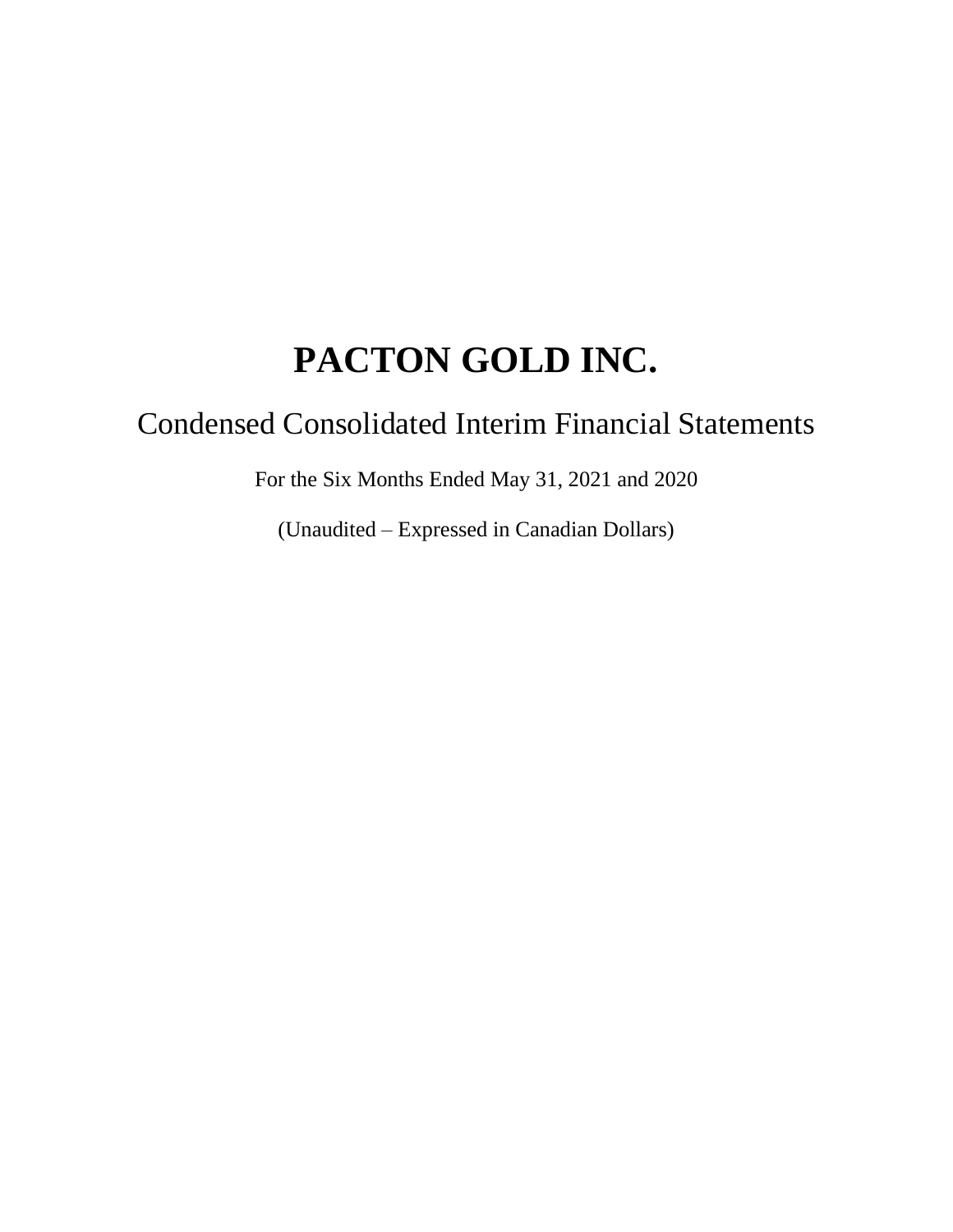# Condensed Consolidated Interim Financial Statements

For the Six Months Ended May 31, 2021 and 2020

(Unaudited – Expressed in Canadian Dollars)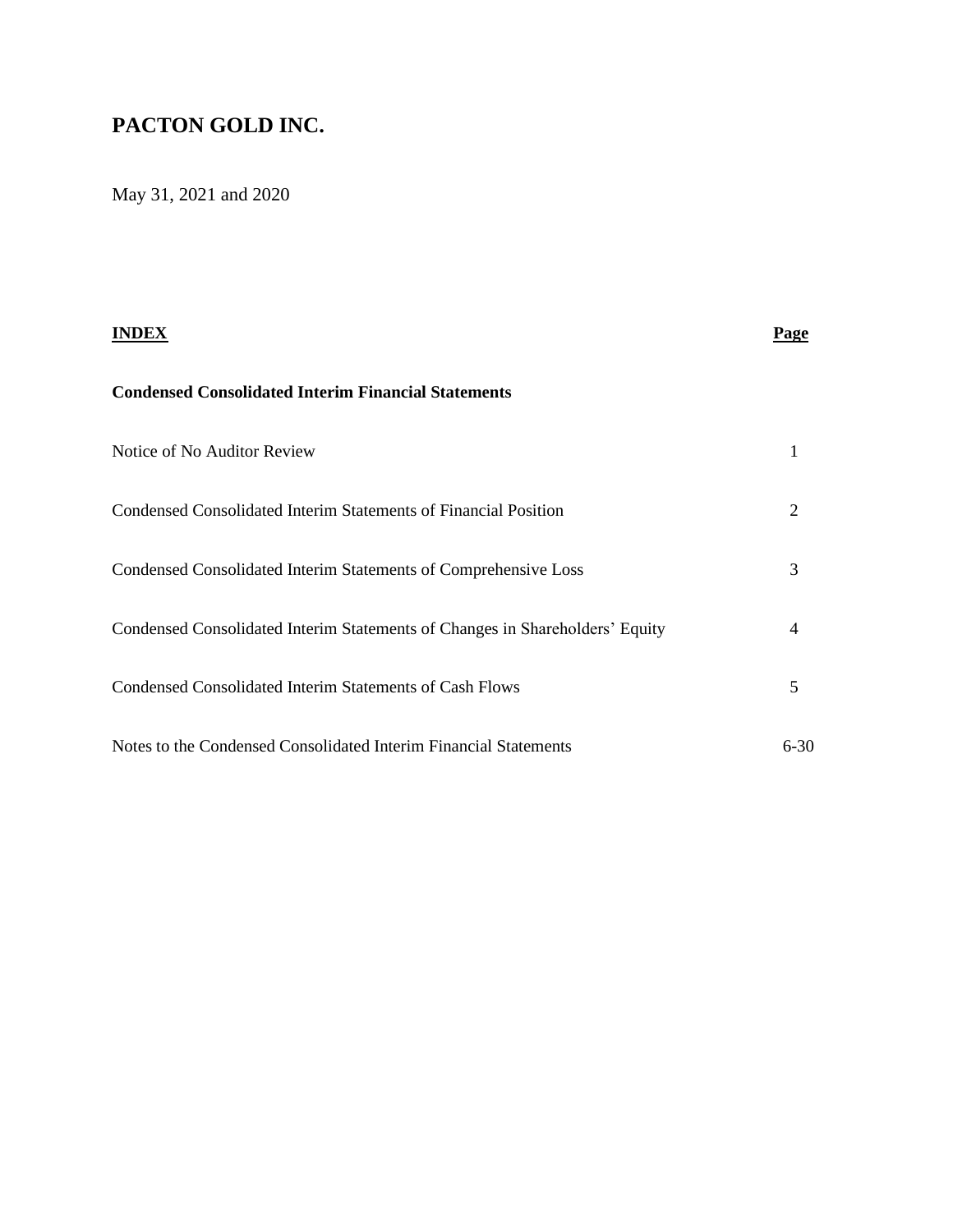May 31, 2021 and 2020

|                                                                              | Page     |
|------------------------------------------------------------------------------|----------|
| <b>Condensed Consolidated Interim Financial Statements</b>                   |          |
| Notice of No Auditor Review                                                  |          |
| Condensed Consolidated Interim Statements of Financial Position              | 2        |
| Condensed Consolidated Interim Statements of Comprehensive Loss              | 3        |
| Condensed Consolidated Interim Statements of Changes in Shareholders' Equity | 4        |
| <b>Condensed Consolidated Interim Statements of Cash Flows</b>               | 5        |
| Notes to the Condensed Consolidated Interim Financial Statements             | $6 - 30$ |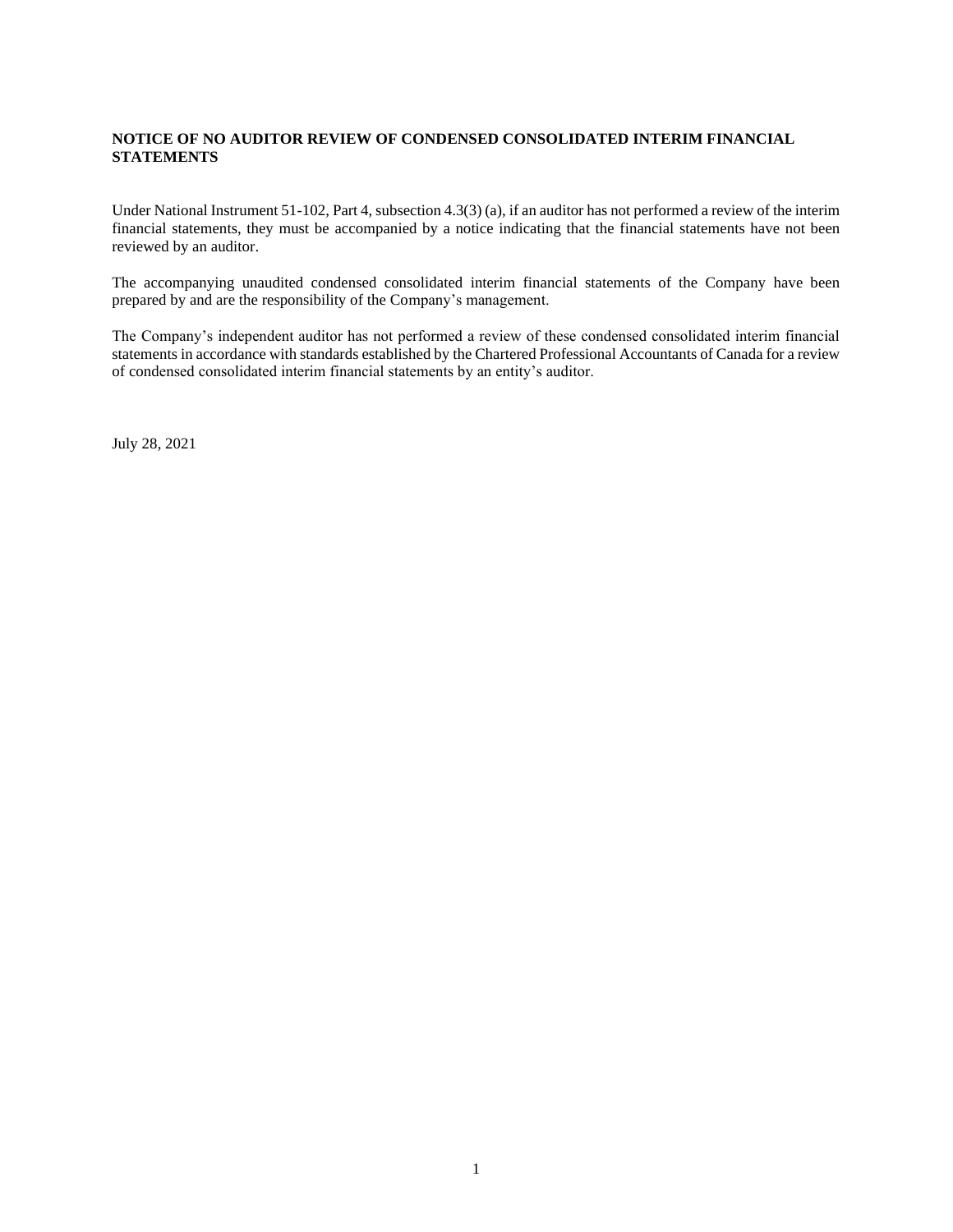#### **NOTICE OF NO AUDITOR REVIEW OF CONDENSED CONSOLIDATED INTERIM FINANCIAL STATEMENTS**

Under National Instrument 51-102, Part 4, subsection 4.3(3) (a), if an auditor has not performed a review of the interim financial statements, they must be accompanied by a notice indicating that the financial statements have not been reviewed by an auditor.

The accompanying unaudited condensed consolidated interim financial statements of the Company have been prepared by and are the responsibility of the Company's management.

The Company's independent auditor has not performed a review of these condensed consolidated interim financial statements in accordance with standards established by the Chartered Professional Accountants of Canada for a review of condensed consolidated interim financial statements by an entity's auditor.

July 28, 2021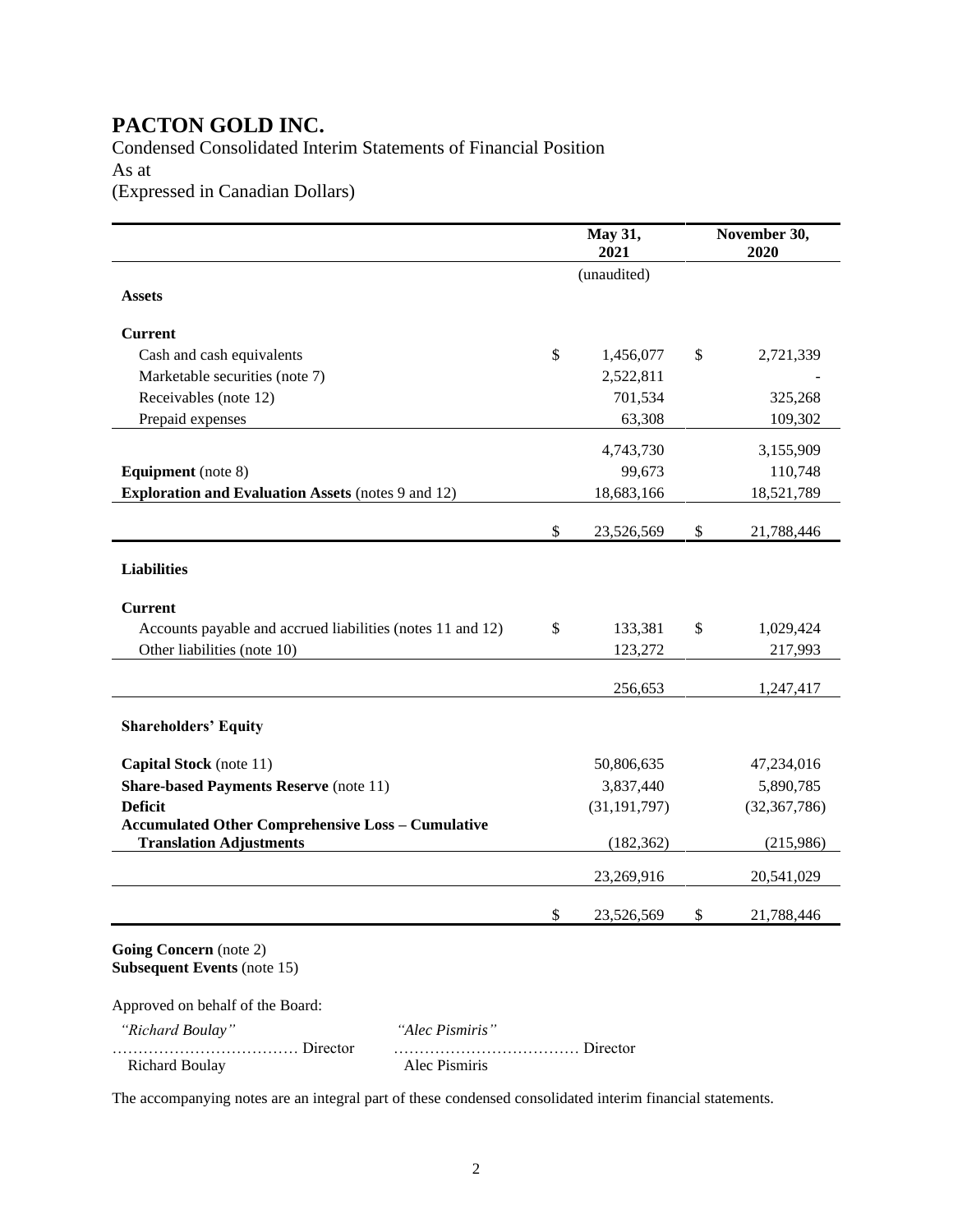### Condensed Consolidated Interim Statements of Financial Position As at (Expressed in Canadian Dollars)

|                                                              | May 31,<br>2021  | November 30,<br>2020 |
|--------------------------------------------------------------|------------------|----------------------|
|                                                              | (unaudited)      |                      |
| <b>Assets</b>                                                |                  |                      |
| <b>Current</b>                                               |                  |                      |
| Cash and cash equivalents                                    | \$<br>1,456,077  | \$<br>2,721,339      |
| Marketable securities (note 7)                               | 2,522,811        |                      |
| Receivables (note 12)                                        | 701,534          | 325,268              |
| Prepaid expenses                                             | 63,308           | 109,302              |
|                                                              | 4,743,730        | 3,155,909            |
| <b>Equipment</b> (note 8)                                    | 99,673           | 110,748              |
| <b>Exploration and Evaluation Assets (notes 9 and 12)</b>    | 18,683,166       | 18,521,789           |
|                                                              |                  |                      |
|                                                              | \$<br>23,526,569 | \$<br>21,788,446     |
| <b>Liabilities</b>                                           |                  |                      |
|                                                              |                  |                      |
| <b>Current</b>                                               |                  |                      |
| Accounts payable and accrued liabilities (notes 11 and 12)   | \$<br>133,381    | \$<br>1,029,424      |
| Other liabilities (note 10)                                  | 123,272          | 217,993              |
|                                                              |                  |                      |
|                                                              | 256,653          | 1,247,417            |
| <b>Shareholders' Equity</b>                                  |                  |                      |
| Capital Stock (note 11)                                      | 50,806,635       | 47,234,016           |
| <b>Share-based Payments Reserve (note 11)</b>                | 3,837,440        | 5,890,785            |
| <b>Deficit</b>                                               | (31, 191, 797)   | (32, 367, 786)       |
| <b>Accumulated Other Comprehensive Loss - Cumulative</b>     |                  |                      |
| <b>Translation Adjustments</b>                               | (182, 362)       | (215,986)            |
|                                                              | 23,269,916       | 20,541,029           |
|                                                              | \$<br>23,526,569 | \$<br>21,788,446     |
| Going Concern (note 2)<br><b>Subsequent Events (note 15)</b> |                  |                      |
| Approved on behalf of the Board:                             |                  |                      |
| "Richard Roulay"<br>"Aloc Pismiris"                          |                  |                      |

 *"Richard Boulay" "Alec Pismiris"* ……………………………… Director ……………………………… Director Richard Boulay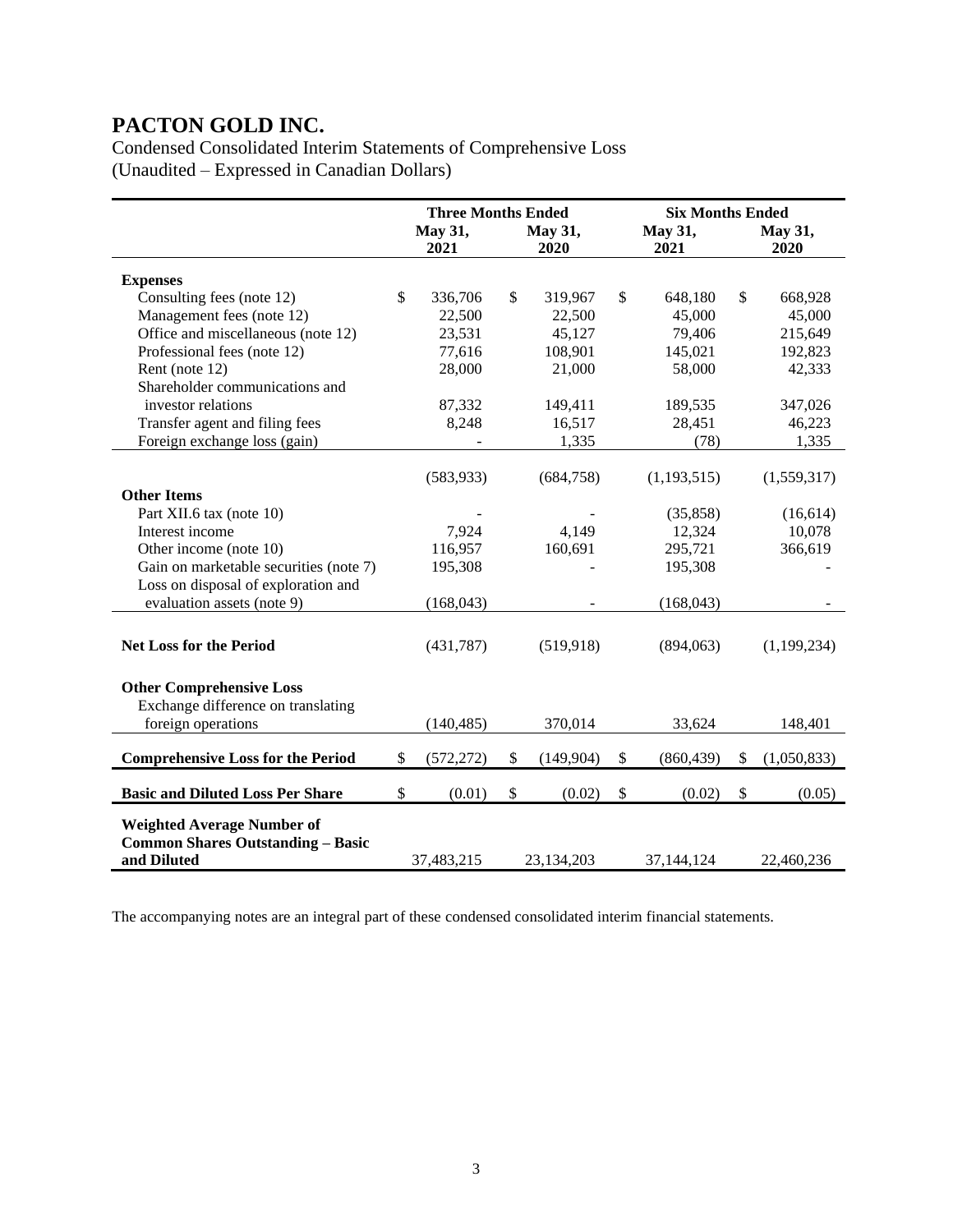Condensed Consolidated Interim Statements of Comprehensive Loss (Unaudited – Expressed in Canadian Dollars)

|                                                         | <b>Three Months Ended</b> |                 |    |                 |    | <b>Six Months Ended</b> |    |                 |  |
|---------------------------------------------------------|---------------------------|-----------------|----|-----------------|----|-------------------------|----|-----------------|--|
|                                                         |                           | May 31,<br>2021 |    | May 31,<br>2020 |    | May 31,<br>2021         |    | May 31,<br>2020 |  |
| <b>Expenses</b>                                         |                           |                 |    |                 |    |                         |    |                 |  |
| Consulting fees (note 12)                               | $\mathbb{S}$              | 336,706         | \$ | 319,967         | \$ | 648,180                 | \$ | 668,928         |  |
| Management fees (note 12)                               |                           | 22,500          |    | 22,500          |    | 45,000                  |    | 45,000          |  |
| Office and miscellaneous (note 12)                      |                           | 23,531          |    | 45,127          |    | 79,406                  |    | 215,649         |  |
| Professional fees (note 12)                             |                           | 77,616          |    | 108,901         |    | 145,021                 |    | 192,823         |  |
| Rent (note 12)                                          |                           | 28,000          |    | 21,000          |    | 58,000                  |    | 42,333          |  |
| Shareholder communications and                          |                           |                 |    |                 |    |                         |    |                 |  |
| investor relations                                      |                           | 87,332          |    | 149,411         |    | 189,535                 |    | 347,026         |  |
| Transfer agent and filing fees                          |                           | 8,248           |    | 16,517          |    | 28,451                  |    | 46,223          |  |
| Foreign exchange loss (gain)                            |                           |                 |    | 1,335           |    | (78)                    |    | 1,335           |  |
|                                                         |                           |                 |    |                 |    |                         |    |                 |  |
|                                                         |                           | (583, 933)      |    | (684,758)       |    | (1, 193, 515)           |    | (1,559,317)     |  |
| <b>Other Items</b>                                      |                           |                 |    |                 |    |                         |    |                 |  |
| Part XII.6 tax (note 10)                                |                           |                 |    |                 |    | (35, 858)               |    | (16,614)        |  |
| Interest income                                         |                           | 7,924           |    | 4,149           |    | 12,324                  |    | 10,078          |  |
| Other income (note 10)                                  |                           | 116,957         |    | 160,691         |    | 295,721                 |    | 366,619         |  |
| Gain on marketable securities (note 7)                  |                           | 195,308         |    |                 |    | 195,308                 |    |                 |  |
| Loss on disposal of exploration and                     |                           |                 |    |                 |    |                         |    |                 |  |
| evaluation assets (note 9)                              |                           | (168, 043)      |    |                 |    | (168, 043)              |    |                 |  |
|                                                         |                           |                 |    |                 |    |                         |    |                 |  |
| <b>Net Loss for the Period</b>                          |                           | (431,787)       |    | (519, 918)      |    | (894,063)               |    | (1,199,234)     |  |
|                                                         |                           |                 |    |                 |    |                         |    |                 |  |
| <b>Other Comprehensive Loss</b>                         |                           |                 |    |                 |    |                         |    |                 |  |
| Exchange difference on translating                      |                           |                 |    |                 |    |                         |    |                 |  |
| foreign operations                                      |                           | (140, 485)      |    | 370,014         |    | 33,624                  |    | 148,401         |  |
|                                                         |                           |                 |    |                 |    |                         |    |                 |  |
| <b>Comprehensive Loss for the Period</b>                | $\mathbb{S}$              | (572, 272)      | \$ | (149,904)       | \$ | (860, 439)              | \$ | (1,050,833)     |  |
| <b>Basic and Diluted Loss Per Share</b>                 | \$                        | (0.01)          | \$ | (0.02)          | \$ | (0.02)                  | \$ | (0.05)          |  |
|                                                         |                           |                 |    |                 |    |                         |    |                 |  |
| <b>Weighted Average Number of</b>                       |                           |                 |    |                 |    |                         |    |                 |  |
| <b>Common Shares Outstanding - Basic</b><br>and Diluted |                           | 37,483,215      |    | 23,134,203      |    | 37,144,124              |    | 22,460,236      |  |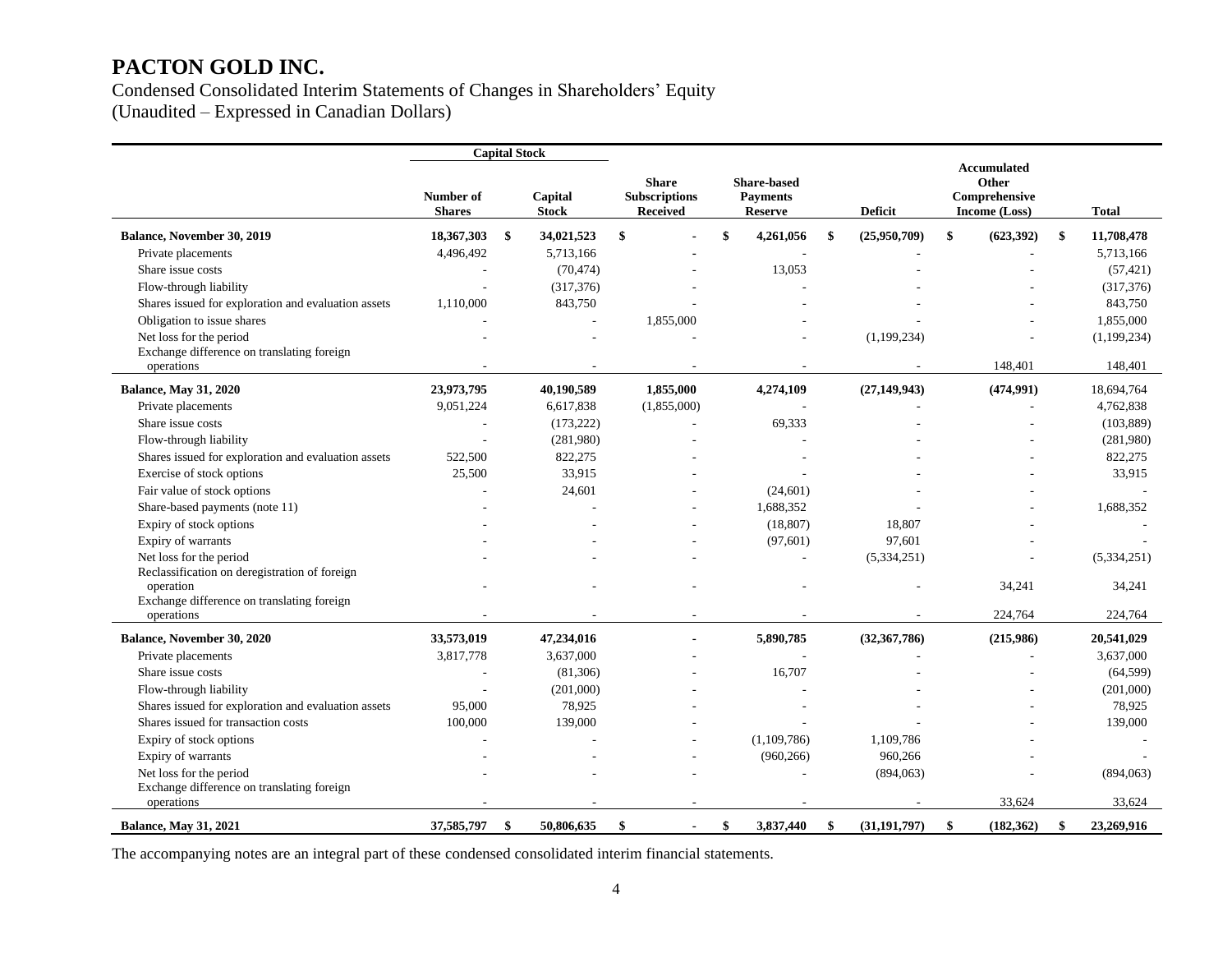# Condensed Consolidated Interim Statements of Changes in Shareholders' Equity

(Unaudited – Expressed in Canadian Dollars)

|                                                          |                            | <b>Capital Stock</b> |                         |                                                         |                                                         |                      |                                                        |                  |
|----------------------------------------------------------|----------------------------|----------------------|-------------------------|---------------------------------------------------------|---------------------------------------------------------|----------------------|--------------------------------------------------------|------------------|
|                                                          | Number of<br><b>Shares</b> |                      | Capital<br><b>Stock</b> | <b>Share</b><br><b>Subscriptions</b><br><b>Received</b> | <b>Share-based</b><br><b>Payments</b><br><b>Reserve</b> | <b>Deficit</b>       | Accumulated<br>Other<br>Comprehensive<br>Income (Loss) | <b>Total</b>     |
| Balance, November 30, 2019                               | 18,367,303                 | \$                   | 34,021,523              | \$                                                      | \$<br>4,261,056                                         | \$<br>(25,950,709)   | \$<br>(623, 392)                                       | \$<br>11,708,478 |
| Private placements                                       | 4,496,492                  |                      | 5,713,166               |                                                         |                                                         |                      |                                                        | 5,713,166        |
| Share issue costs                                        |                            |                      | (70, 474)               |                                                         | 13,053                                                  |                      |                                                        | (57, 421)        |
| Flow-through liability                                   |                            |                      | (317, 376)              |                                                         |                                                         |                      |                                                        | (317, 376)       |
| Shares issued for exploration and evaluation assets      | 1,110,000                  |                      | 843,750                 |                                                         |                                                         |                      |                                                        | 843,750          |
| Obligation to issue shares                               |                            |                      |                         | 1,855,000                                               |                                                         |                      |                                                        | 1,855,000        |
| Net loss for the period                                  |                            |                      |                         |                                                         |                                                         | (1,199,234)          |                                                        | (1, 199, 234)    |
| Exchange difference on translating foreign               |                            |                      |                         |                                                         |                                                         |                      |                                                        |                  |
| operations                                               |                            |                      |                         |                                                         |                                                         |                      | 148,401                                                | 148,401          |
| <b>Balance, May 31, 2020</b>                             | 23,973,795                 |                      | 40,190,589              | 1,855,000                                               | 4,274,109                                               | (27, 149, 943)       | (474,991)                                              | 18,694,764       |
| Private placements                                       | 9,051,224                  |                      | 6,617,838               | (1,855,000)                                             | $\overline{\phantom{a}}$                                |                      | ÷,                                                     | 4,762,838        |
| Share issue costs                                        |                            |                      | (173, 222)              |                                                         | 69,333                                                  |                      |                                                        | (103, 889)       |
| Flow-through liability                                   |                            |                      | (281,980)               |                                                         |                                                         |                      |                                                        | (281,980)        |
| Shares issued for exploration and evaluation assets      | 522,500                    |                      | 822,275                 |                                                         |                                                         |                      |                                                        | 822,275          |
| Exercise of stock options                                | 25,500                     |                      | 33,915                  |                                                         |                                                         |                      |                                                        | 33,915           |
| Fair value of stock options                              |                            |                      | 24,601                  |                                                         | (24, 601)                                               |                      |                                                        |                  |
| Share-based payments (note 11)                           |                            |                      |                         |                                                         | 1,688,352                                               |                      |                                                        | 1,688,352        |
| Expiry of stock options                                  |                            |                      |                         |                                                         | (18, 807)                                               | 18,807               |                                                        |                  |
| Expiry of warrants                                       |                            |                      |                         |                                                         | (97, 601)                                               | 97,601               |                                                        |                  |
| Net loss for the period                                  |                            |                      |                         |                                                         |                                                         | (5,334,251)          |                                                        | (5,334,251)      |
| Reclassification on deregistration of foreign            |                            |                      |                         |                                                         |                                                         |                      |                                                        |                  |
| operation                                                |                            |                      |                         |                                                         |                                                         |                      | 34,241                                                 | 34,241           |
| Exchange difference on translating foreign<br>operations |                            |                      |                         |                                                         |                                                         |                      | 224,764                                                | 224,764          |
| Balance, November 30, 2020                               | 33,573,019                 |                      | 47,234,016              | $\blacksquare$                                          | 5,890,785                                               | (32, 367, 786)       | (215,986)                                              | 20,541,029       |
| Private placements                                       | 3,817,778                  |                      | 3,637,000               |                                                         |                                                         |                      |                                                        | 3,637,000        |
| Share issue costs                                        |                            |                      | (81,306)                |                                                         | 16,707                                                  |                      |                                                        | (64, 599)        |
| Flow-through liability                                   |                            |                      | (201,000)               |                                                         |                                                         |                      |                                                        | (201,000)        |
| Shares issued for exploration and evaluation assets      | 95,000                     |                      | 78,925                  |                                                         |                                                         |                      |                                                        | 78,925           |
| Shares issued for transaction costs                      | 100,000                    |                      | 139,000                 |                                                         |                                                         |                      |                                                        | 139,000          |
| Expiry of stock options                                  |                            |                      |                         |                                                         | (1,109,786)                                             | 1,109,786            |                                                        |                  |
| Expiry of warrants                                       |                            |                      |                         |                                                         | (960, 266)                                              | 960,266              |                                                        |                  |
| Net loss for the period                                  |                            |                      |                         |                                                         |                                                         | (894,063)            |                                                        | (894,063)        |
| Exchange difference on translating foreign               |                            |                      |                         |                                                         |                                                         |                      |                                                        |                  |
| operations                                               |                            |                      |                         |                                                         |                                                         |                      | 33,624                                                 | 33,624           |
| <b>Balance, May 31, 2021</b>                             | 37,585,797                 | \$                   | 50,806,635              | -\$<br>$\blacksquare$                                   | \$<br>3,837,440                                         | \$<br>(31, 191, 797) | \$<br>(182, 362)                                       | \$<br>23,269,916 |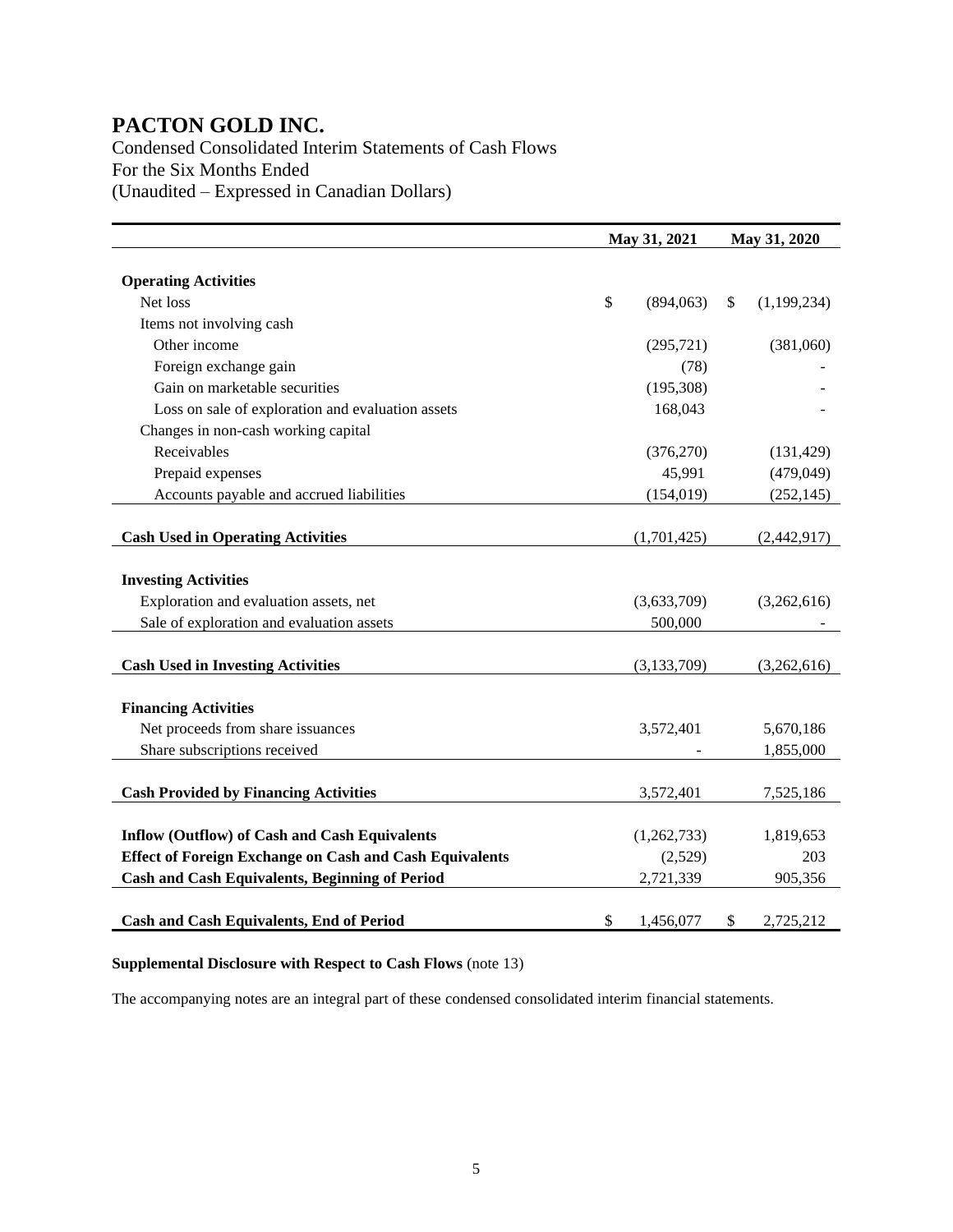Condensed Consolidated Interim Statements of Cash Flows For the Six Months Ended (Unaudited – Expressed in Canadian Dollars)

|                                                                | May 31, 2021    | May 31, 2020      |
|----------------------------------------------------------------|-----------------|-------------------|
|                                                                |                 |                   |
| <b>Operating Activities</b>                                    |                 |                   |
| Net loss                                                       | \$<br>(894,063) | \$<br>(1,199,234) |
| Items not involving cash                                       |                 |                   |
| Other income                                                   | (295, 721)      | (381,060)         |
| Foreign exchange gain                                          | (78)            |                   |
| Gain on marketable securities                                  | (195, 308)      |                   |
| Loss on sale of exploration and evaluation assets              | 168,043         |                   |
| Changes in non-cash working capital                            |                 |                   |
| Receivables                                                    | (376, 270)      | (131, 429)        |
| Prepaid expenses                                               | 45,991          | (479,049)         |
| Accounts payable and accrued liabilities                       | (154, 019)      | (252, 145)        |
|                                                                |                 |                   |
| <b>Cash Used in Operating Activities</b>                       | (1,701,425)     | (2,442,917)       |
|                                                                |                 |                   |
| <b>Investing Activities</b>                                    |                 |                   |
| Exploration and evaluation assets, net                         | (3,633,709)     | (3,262,616)       |
| Sale of exploration and evaluation assets                      | 500,000         |                   |
|                                                                |                 |                   |
| <b>Cash Used in Investing Activities</b>                       | (3, 133, 709)   | (3,262,616)       |
|                                                                |                 |                   |
| <b>Financing Activities</b>                                    |                 |                   |
| Net proceeds from share issuances                              | 3,572,401       | 5,670,186         |
| Share subscriptions received                                   |                 | 1,855,000         |
|                                                                |                 |                   |
| <b>Cash Provided by Financing Activities</b>                   | 3,572,401       | 7,525,186         |
|                                                                |                 |                   |
| <b>Inflow (Outflow) of Cash and Cash Equivalents</b>           | (1,262,733)     | 1,819,653         |
| <b>Effect of Foreign Exchange on Cash and Cash Equivalents</b> | (2,529)         | 203               |
| <b>Cash and Cash Equivalents, Beginning of Period</b>          | 2,721,339       | 905,356           |
|                                                                |                 |                   |
| Cash and Cash Equivalents, End of Period                       | \$<br>1,456,077 | \$<br>2,725,212   |

#### **Supplemental Disclosure with Respect to Cash Flows** (note 13)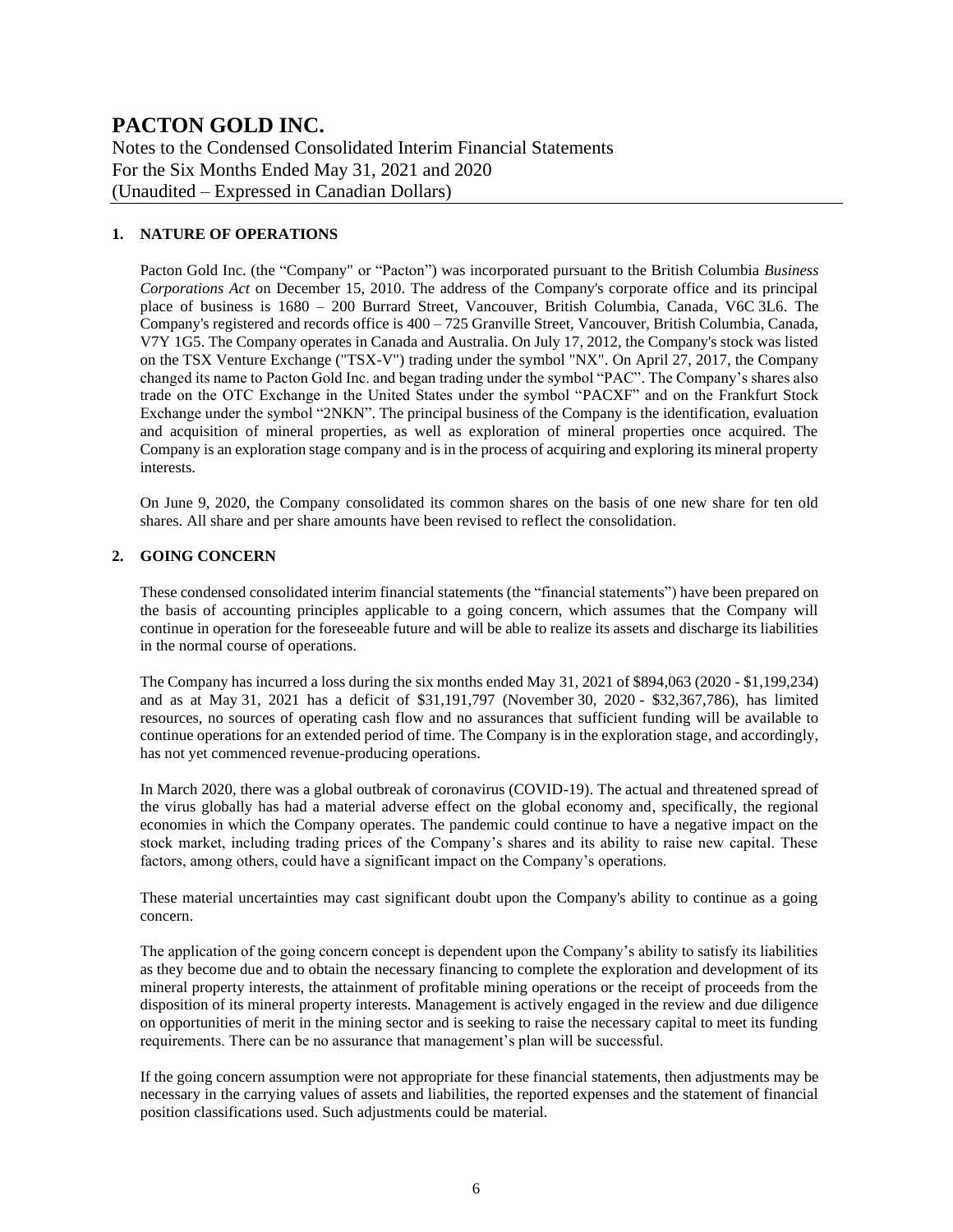Notes to the Condensed Consolidated Interim Financial Statements For the Six Months Ended May 31, 2021 and 2020 (Unaudited – Expressed in Canadian Dollars)

#### **1. NATURE OF OPERATIONS**

Pacton Gold Inc. (the "Company" or "Pacton") was incorporated pursuant to the British Columbia *Business Corporations Act* on December 15, 2010. The address of the Company's corporate office and its principal place of business is 1680 – 200 Burrard Street, Vancouver, British Columbia, Canada, V6C 3L6. The Company's registered and records office is  $400 - 725$  Granville Street, Vancouver, British Columbia, Canada, V7Y 1G5. The Company operates in Canada and Australia. On July 17, 2012, the Company's stock was listed on the TSX Venture Exchange ("TSX-V") trading under the symbol "NX". On April 27, 2017, the Company changed its name to Pacton Gold Inc. and began trading under the symbol "PAC". The Company's shares also trade on the OTC Exchange in the United States under the symbol "PACXF" and on the Frankfurt Stock Exchange under the symbol "2NKN". The principal business of the Company is the identification, evaluation and acquisition of mineral properties, as well as exploration of mineral properties once acquired. The Company is an exploration stage company and is in the process of acquiring and exploring its mineral property interests.

On June 9, 2020, the Company consolidated its common shares on the basis of one new share for ten old shares. All share and per share amounts have been revised to reflect the consolidation.

#### **2. GOING CONCERN**

These condensed consolidated interim financial statements (the "financial statements") have been prepared on the basis of accounting principles applicable to a going concern, which assumes that the Company will continue in operation for the foreseeable future and will be able to realize its assets and discharge its liabilities in the normal course of operations.

The Company has incurred a loss during the six months ended May 31, 2021 of \$894,063 (2020 - \$1,199,234) and as at May 31, 2021 has a deficit of \$31,191,797 (November 30, 2020 - \$32,367,786), has limited resources, no sources of operating cash flow and no assurances that sufficient funding will be available to continue operations for an extended period of time. The Company is in the exploration stage, and accordingly, has not yet commenced revenue-producing operations.

In March 2020, there was a global outbreak of coronavirus (COVID-19). The actual and threatened spread of the virus globally has had a material adverse effect on the global economy and, specifically, the regional economies in which the Company operates. The pandemic could continue to have a negative impact on the stock market, including trading prices of the Company's shares and its ability to raise new capital. These factors, among others, could have a significant impact on the Company's operations.

These material uncertainties may cast significant doubt upon the Company's ability to continue as a going concern.

The application of the going concern concept is dependent upon the Company's ability to satisfy its liabilities as they become due and to obtain the necessary financing to complete the exploration and development of its mineral property interests, the attainment of profitable mining operations or the receipt of proceeds from the disposition of its mineral property interests. Management is actively engaged in the review and due diligence on opportunities of merit in the mining sector and is seeking to raise the necessary capital to meet its funding requirements. There can be no assurance that management's plan will be successful.

If the going concern assumption were not appropriate for these financial statements, then adjustments may be necessary in the carrying values of assets and liabilities, the reported expenses and the statement of financial position classifications used. Such adjustments could be material.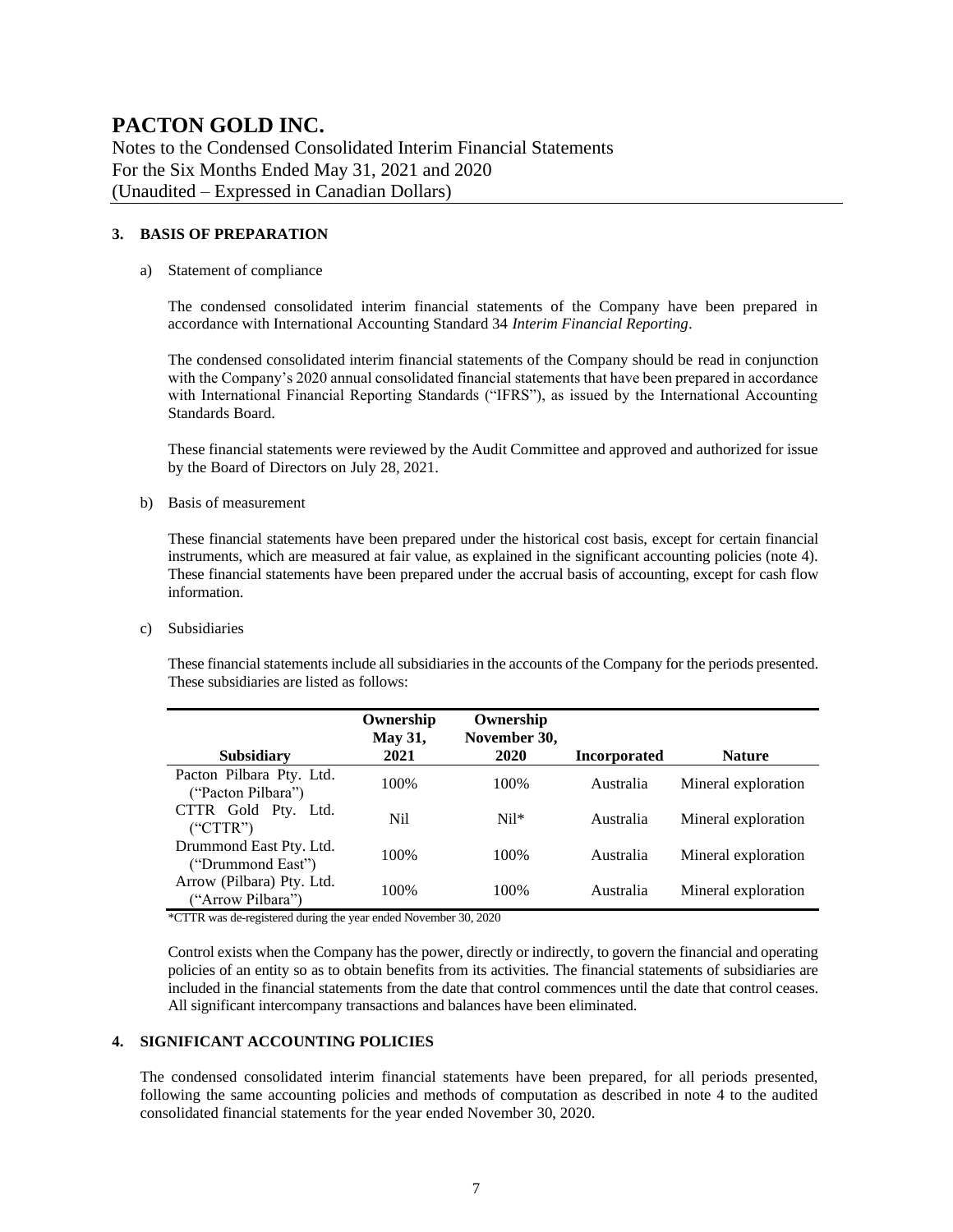Notes to the Condensed Consolidated Interim Financial Statements For the Six Months Ended May 31, 2021 and 2020 (Unaudited – Expressed in Canadian Dollars)

#### **3. BASIS OF PREPARATION**

#### a) Statement of compliance

The condensed consolidated interim financial statements of the Company have been prepared in accordance with International Accounting Standard 34 *Interim Financial Reporting*.

The condensed consolidated interim financial statements of the Company should be read in conjunction with the Company's 2020 annual consolidated financial statements that have been prepared in accordance with International Financial Reporting Standards ("IFRS"), as issued by the International Accounting Standards Board.

These financial statements were reviewed by the Audit Committee and approved and authorized for issue by the Board of Directors on July 28, 2021.

b) Basis of measurement

These financial statements have been prepared under the historical cost basis, except for certain financial instruments, which are measured at fair value, as explained in the significant accounting policies (note 4). These financial statements have been prepared under the accrual basis of accounting, except for cash flow information.

c) Subsidiaries

These financial statements include all subsidiaries in the accounts of the Company for the periods presented. These subsidiaries are listed as follows:

| <b>Subsidiary</b>                              | Ownership<br><b>May 31,</b><br>2021 | Ownership<br>November 30,<br>2020 | <b>Incorporated</b> | <b>Nature</b>       |
|------------------------------------------------|-------------------------------------|-----------------------------------|---------------------|---------------------|
|                                                |                                     |                                   |                     |                     |
| Pacton Pilbara Pty. Ltd.<br>("Pacton Pilbara") | 100%                                | 100%                              | Australia           | Mineral exploration |
| CTTR Gold Pty. Ltd.<br>("CTTR")                | Nil                                 | $Nil*$                            | Australia           | Mineral exploration |
| Drummond East Pty. Ltd.<br>("Drummond East")   | 100%                                | 100\%                             | Australia           | Mineral exploration |
| Arrow (Pilbara) Pty. Ltd.<br>("Arrow Pilbara") | 100%                                | 100%                              | Australia           | Mineral exploration |

\*CTTR was de-registered during the year ended November 30, 2020

Control exists when the Company has the power, directly or indirectly, to govern the financial and operating policies of an entity so as to obtain benefits from its activities. The financial statements of subsidiaries are included in the financial statements from the date that control commences until the date that control ceases. All significant intercompany transactions and balances have been eliminated.

#### **4. SIGNIFICANT ACCOUNTING POLICIES**

The condensed consolidated interim financial statements have been prepared, for all periods presented, following the same accounting policies and methods of computation as described in note 4 to the audited consolidated financial statements for the year ended November 30, 2020.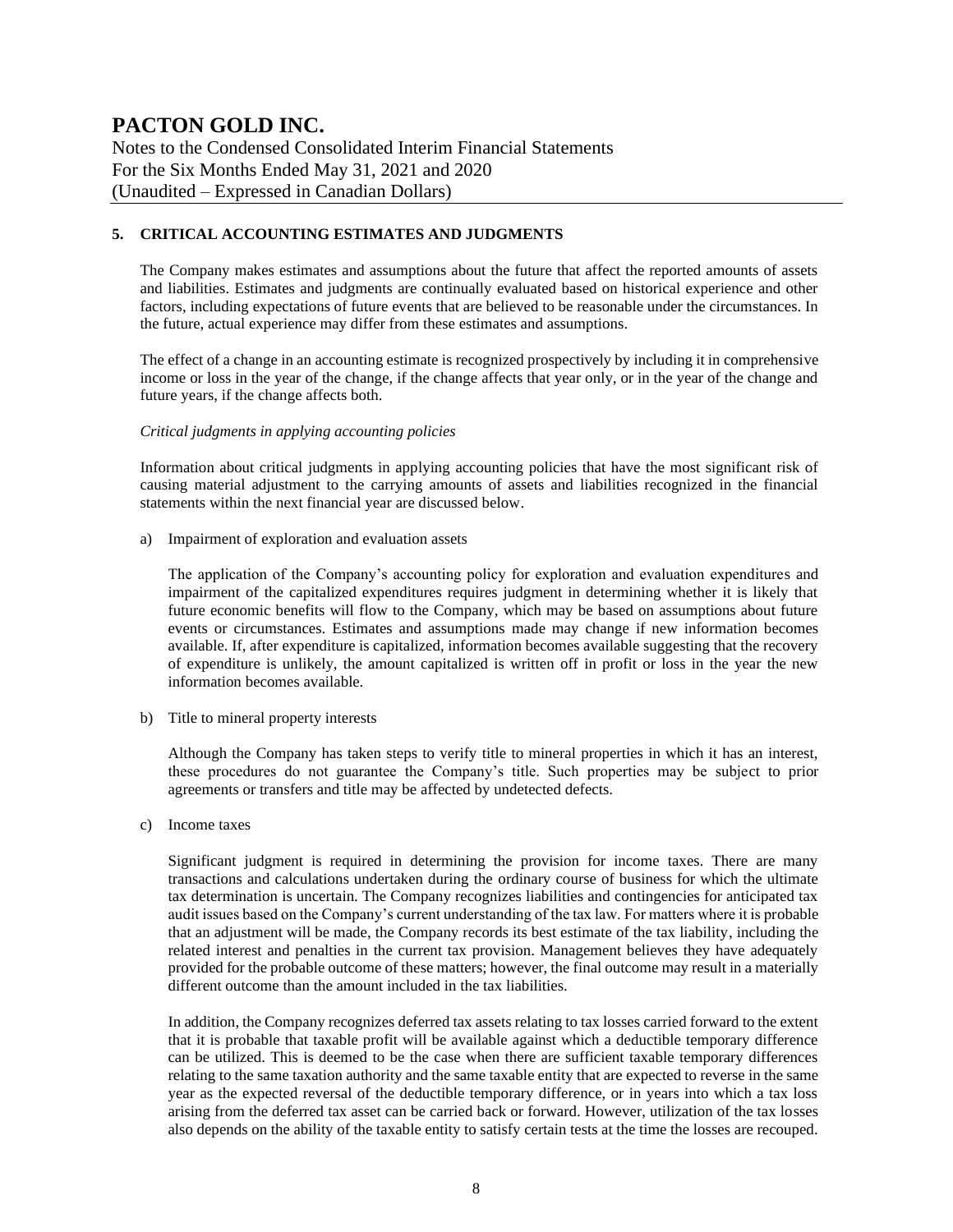Notes to the Condensed Consolidated Interim Financial Statements For the Six Months Ended May 31, 2021 and 2020 (Unaudited – Expressed in Canadian Dollars)

#### **5. CRITICAL ACCOUNTING ESTIMATES AND JUDGMENTS**

The Company makes estimates and assumptions about the future that affect the reported amounts of assets and liabilities. Estimates and judgments are continually evaluated based on historical experience and other factors, including expectations of future events that are believed to be reasonable under the circumstances. In the future, actual experience may differ from these estimates and assumptions.

The effect of a change in an accounting estimate is recognized prospectively by including it in comprehensive income or loss in the year of the change, if the change affects that year only, or in the year of the change and future years, if the change affects both.

#### *Critical judgments in applying accounting policies*

Information about critical judgments in applying accounting policies that have the most significant risk of causing material adjustment to the carrying amounts of assets and liabilities recognized in the financial statements within the next financial year are discussed below.

a) Impairment of exploration and evaluation assets

The application of the Company's accounting policy for exploration and evaluation expenditures and impairment of the capitalized expenditures requires judgment in determining whether it is likely that future economic benefits will flow to the Company, which may be based on assumptions about future events or circumstances. Estimates and assumptions made may change if new information becomes available. If, after expenditure is capitalized, information becomes available suggesting that the recovery of expenditure is unlikely, the amount capitalized is written off in profit or loss in the year the new information becomes available.

b) Title to mineral property interests

Although the Company has taken steps to verify title to mineral properties in which it has an interest, these procedures do not guarantee the Company's title. Such properties may be subject to prior agreements or transfers and title may be affected by undetected defects.

c) Income taxes

Significant judgment is required in determining the provision for income taxes. There are many transactions and calculations undertaken during the ordinary course of business for which the ultimate tax determination is uncertain. The Company recognizes liabilities and contingencies for anticipated tax audit issues based on the Company's current understanding of the tax law. For matters where it is probable that an adjustment will be made, the Company records its best estimate of the tax liability, including the related interest and penalties in the current tax provision. Management believes they have adequately provided for the probable outcome of these matters; however, the final outcome may result in a materially different outcome than the amount included in the tax liabilities.

In addition, the Company recognizes deferred tax assets relating to tax losses carried forward to the extent that it is probable that taxable profit will be available against which a deductible temporary difference can be utilized. This is deemed to be the case when there are sufficient taxable temporary differences relating to the same taxation authority and the same taxable entity that are expected to reverse in the same year as the expected reversal of the deductible temporary difference, or in years into which a tax loss arising from the deferred tax asset can be carried back or forward. However, utilization of the tax losses also depends on the ability of the taxable entity to satisfy certain tests at the time the losses are recouped.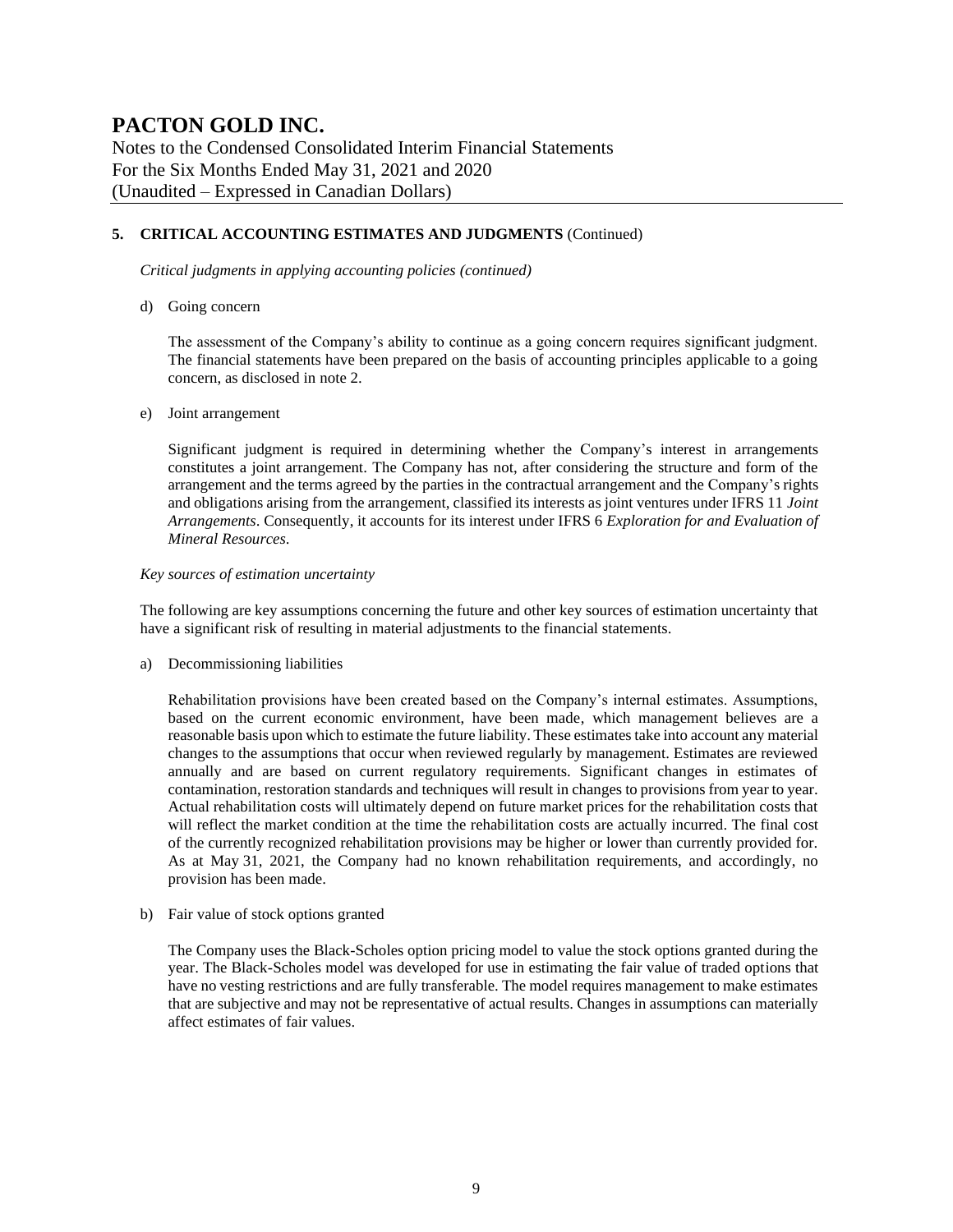Notes to the Condensed Consolidated Interim Financial Statements For the Six Months Ended May 31, 2021 and 2020 (Unaudited – Expressed in Canadian Dollars)

#### **5. CRITICAL ACCOUNTING ESTIMATES AND JUDGMENTS** (Continued)

*Critical judgments in applying accounting policies (continued)*

d) Going concern

The assessment of the Company's ability to continue as a going concern requires significant judgment. The financial statements have been prepared on the basis of accounting principles applicable to a going concern, as disclosed in note 2.

#### e) Joint arrangement

Significant judgment is required in determining whether the Company's interest in arrangements constitutes a joint arrangement. The Company has not, after considering the structure and form of the arrangement and the terms agreed by the parties in the contractual arrangement and the Company's rights and obligations arising from the arrangement, classified its interests as joint ventures under IFRS 11 *Joint Arrangements*. Consequently, it accounts for its interest under IFRS 6 *Exploration for and Evaluation of Mineral Resources*.

#### *Key sources of estimation uncertainty*

The following are key assumptions concerning the future and other key sources of estimation uncertainty that have a significant risk of resulting in material adjustments to the financial statements.

a) Decommissioning liabilities

Rehabilitation provisions have been created based on the Company's internal estimates. Assumptions, based on the current economic environment, have been made, which management believes are a reasonable basis upon which to estimate the future liability. These estimates take into account any material changes to the assumptions that occur when reviewed regularly by management. Estimates are reviewed annually and are based on current regulatory requirements. Significant changes in estimates of contamination, restoration standards and techniques will result in changes to provisions from year to year. Actual rehabilitation costs will ultimately depend on future market prices for the rehabilitation costs that will reflect the market condition at the time the rehabilitation costs are actually incurred. The final cost of the currently recognized rehabilitation provisions may be higher or lower than currently provided for. As at May 31, 2021, the Company had no known rehabilitation requirements, and accordingly, no provision has been made.

b) Fair value of stock options granted

The Company uses the Black-Scholes option pricing model to value the stock options granted during the year. The Black-Scholes model was developed for use in estimating the fair value of traded options that have no vesting restrictions and are fully transferable. The model requires management to make estimates that are subjective and may not be representative of actual results. Changes in assumptions can materially affect estimates of fair values.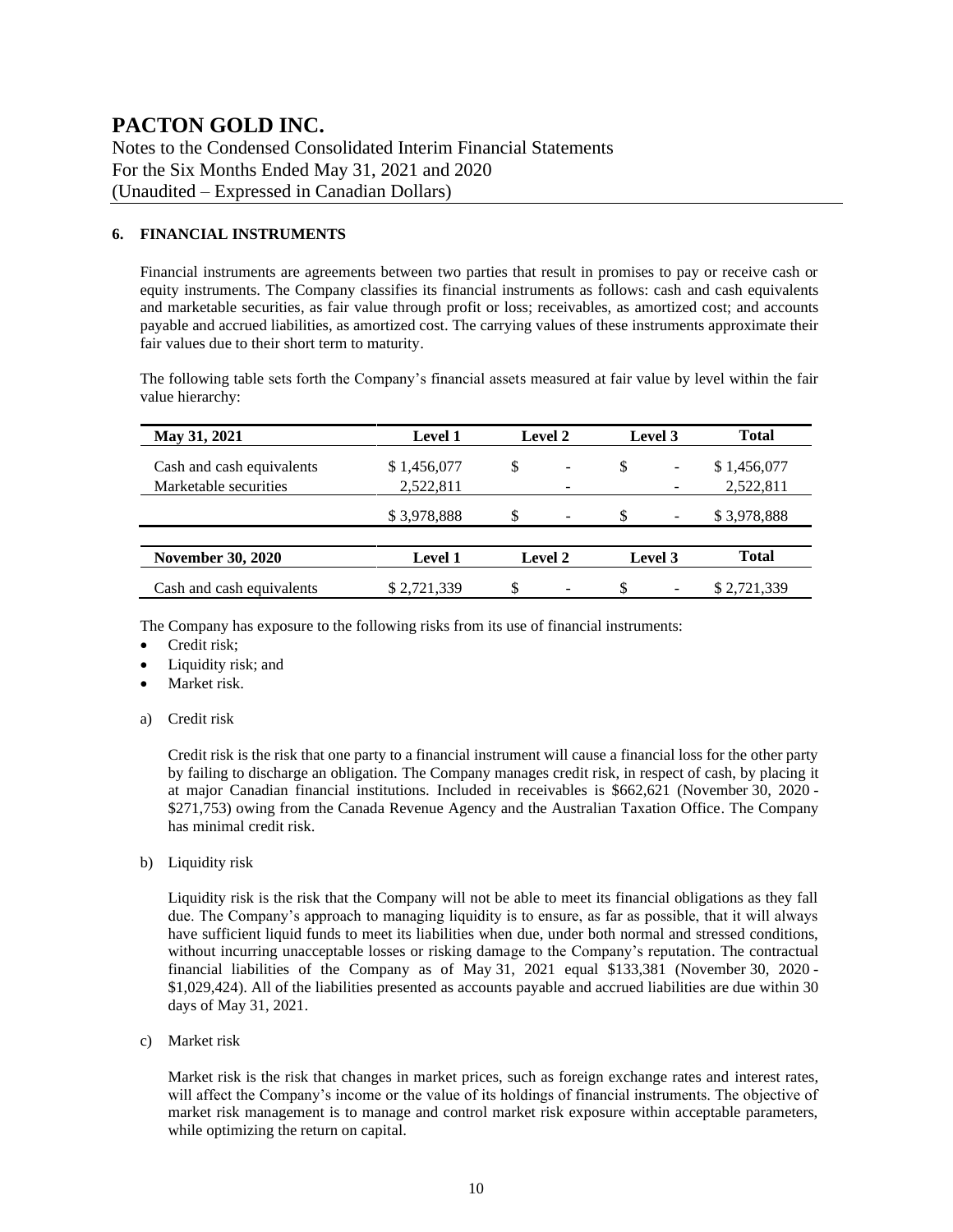Notes to the Condensed Consolidated Interim Financial Statements For the Six Months Ended May 31, 2021 and 2020 (Unaudited – Expressed in Canadian Dollars)

#### **6. FINANCIAL INSTRUMENTS**

Financial instruments are agreements between two parties that result in promises to pay or receive cash or equity instruments. The Company classifies its financial instruments as follows: cash and cash equivalents and marketable securities, as fair value through profit or loss; receivables, as amortized cost; and accounts payable and accrued liabilities, as amortized cost. The carrying values of these instruments approximate their fair values due to their short term to maturity.

The following table sets forth the Company's financial assets measured at fair value by level within the fair value hierarchy:

| May 31, 2021              | <b>Level 1</b> |    | <b>Level 2</b>           |     | Level 3                      | <b>Total</b> |
|---------------------------|----------------|----|--------------------------|-----|------------------------------|--------------|
| Cash and cash equivalents | \$1,456,077    | \$ | $\overline{\phantom{a}}$ |     | $\qquad \qquad \blacksquare$ | \$1,456,077  |
| Marketable securities     | 2,522,811      |    | $\qquad \qquad$          |     |                              | 2,522,811    |
|                           | \$3,978,888    | S. | $\overline{\phantom{0}}$ |     | $\overline{\phantom{a}}$     | \$3,978,888  |
|                           |                |    |                          |     |                              |              |
| <b>November 30, 2020</b>  | <b>Level 1</b> |    | <b>Level 2</b>           |     | Level 3                      | <b>Total</b> |
| Cash and cash equivalents | \$2,721,339    | \$ | $\overline{\phantom{0}}$ | \$. | $\overline{\phantom{a}}$     | \$2,721,339  |

The Company has exposure to the following risks from its use of financial instruments:

- Credit risk;
- Liquidity risk; and
- Market risk.
- a) Credit risk

Credit risk is the risk that one party to a financial instrument will cause a financial loss for the other party by failing to discharge an obligation. The Company manages credit risk, in respect of cash, by placing it at major Canadian financial institutions. Included in receivables is \$662,621 (November 30, 2020 - \$271,753) owing from the Canada Revenue Agency and the Australian Taxation Office. The Company has minimal credit risk.

b) Liquidity risk

Liquidity risk is the risk that the Company will not be able to meet its financial obligations as they fall due. The Company's approach to managing liquidity is to ensure, as far as possible, that it will always have sufficient liquid funds to meet its liabilities when due, under both normal and stressed conditions, without incurring unacceptable losses or risking damage to the Company's reputation. The contractual financial liabilities of the Company as of May 31, 2021 equal \$133,381 (November 30, 2020 - \$1,029,424). All of the liabilities presented as accounts payable and accrued liabilities are due within 30 days of May 31, 2021.

c) Market risk

Market risk is the risk that changes in market prices, such as foreign exchange rates and interest rates, will affect the Company's income or the value of its holdings of financial instruments. The objective of market risk management is to manage and control market risk exposure within acceptable parameters, while optimizing the return on capital.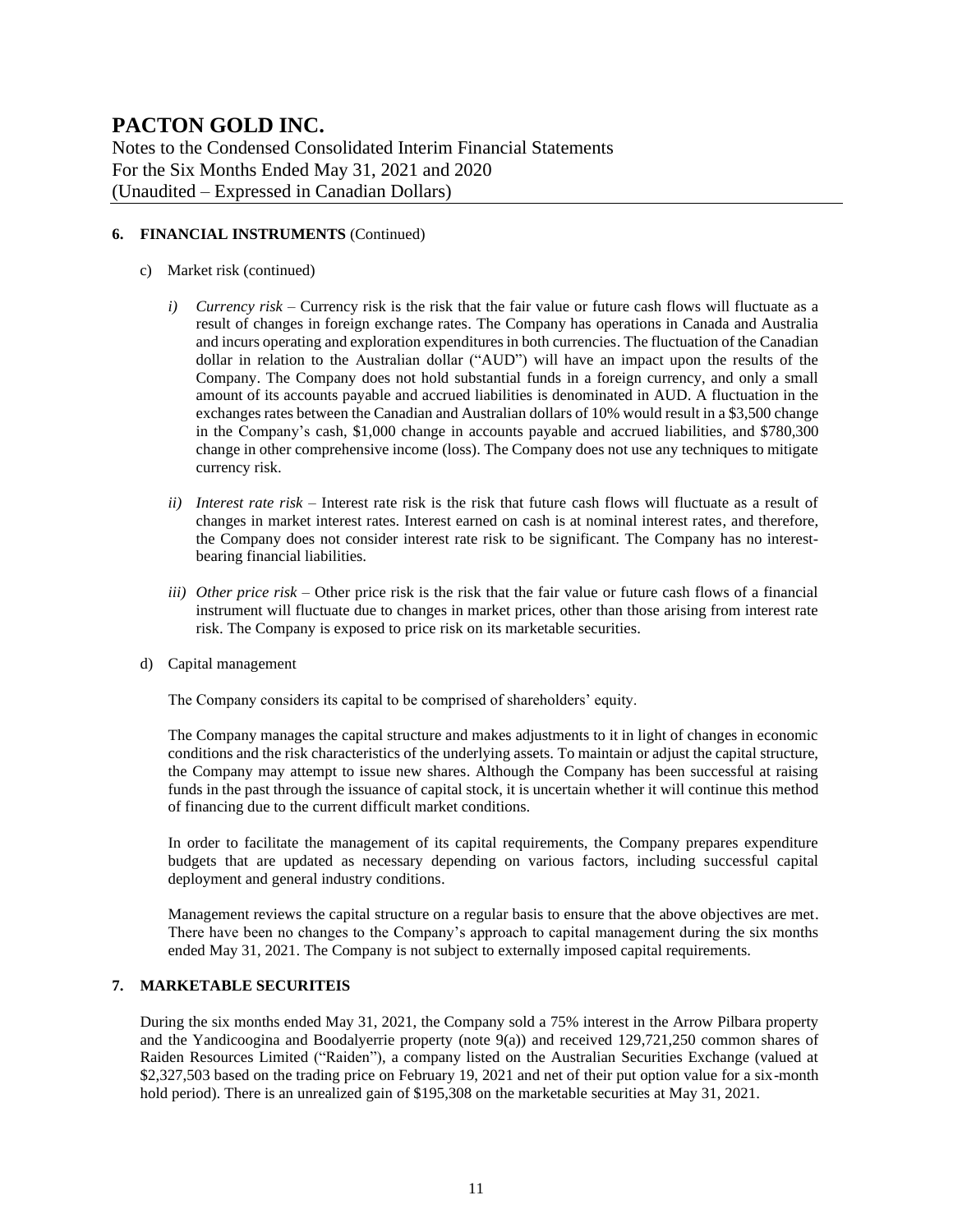Notes to the Condensed Consolidated Interim Financial Statements For the Six Months Ended May 31, 2021 and 2020 (Unaudited – Expressed in Canadian Dollars)

#### **6. FINANCIAL INSTRUMENTS** (Continued)

- c) Market risk (continued)
	- *i) Currency risk –* Currency risk is the risk that the fair value or future cash flows will fluctuate as a result of changes in foreign exchange rates. The Company has operations in Canada and Australia and incurs operating and exploration expenditures in both currencies. The fluctuation of the Canadian dollar in relation to the Australian dollar ("AUD") will have an impact upon the results of the Company. The Company does not hold substantial funds in a foreign currency, and only a small amount of its accounts payable and accrued liabilities is denominated in AUD. A fluctuation in the exchanges rates between the Canadian and Australian dollars of 10% would result in a \$3,500 change in the Company's cash, \$1,000 change in accounts payable and accrued liabilities, and \$780,300 change in other comprehensive income (loss). The Company does not use any techniques to mitigate currency risk.
	- *ii) Interest rate risk –* Interest rate risk is the risk that future cash flows will fluctuate as a result of changes in market interest rates. Interest earned on cash is at nominal interest rates, and therefore, the Company does not consider interest rate risk to be significant. The Company has no interestbearing financial liabilities.
	- *iii) Other price risk –* Other price risk is the risk that the fair value or future cash flows of a financial instrument will fluctuate due to changes in market prices, other than those arising from interest rate risk. The Company is exposed to price risk on its marketable securities.
- d) Capital management

The Company considers its capital to be comprised of shareholders' equity.

The Company manages the capital structure and makes adjustments to it in light of changes in economic conditions and the risk characteristics of the underlying assets. To maintain or adjust the capital structure, the Company may attempt to issue new shares. Although the Company has been successful at raising funds in the past through the issuance of capital stock, it is uncertain whether it will continue this method of financing due to the current difficult market conditions.

In order to facilitate the management of its capital requirements, the Company prepares expenditure budgets that are updated as necessary depending on various factors, including successful capital deployment and general industry conditions.

Management reviews the capital structure on a regular basis to ensure that the above objectives are met. There have been no changes to the Company's approach to capital management during the six months ended May 31, 2021. The Company is not subject to externally imposed capital requirements.

#### **7. MARKETABLE SECURITEIS**

During the six months ended May 31, 2021, the Company sold a 75% interest in the Arrow Pilbara property and the Yandicoogina and Boodalyerrie property (note 9(a)) and received 129,721,250 common shares of Raiden Resources Limited ("Raiden"), a company listed on the Australian Securities Exchange (valued at \$2,327,503 based on the trading price on February 19, 2021 and net of their put option value for a six-month hold period). There is an unrealized gain of \$195,308 on the marketable securities at May 31, 2021.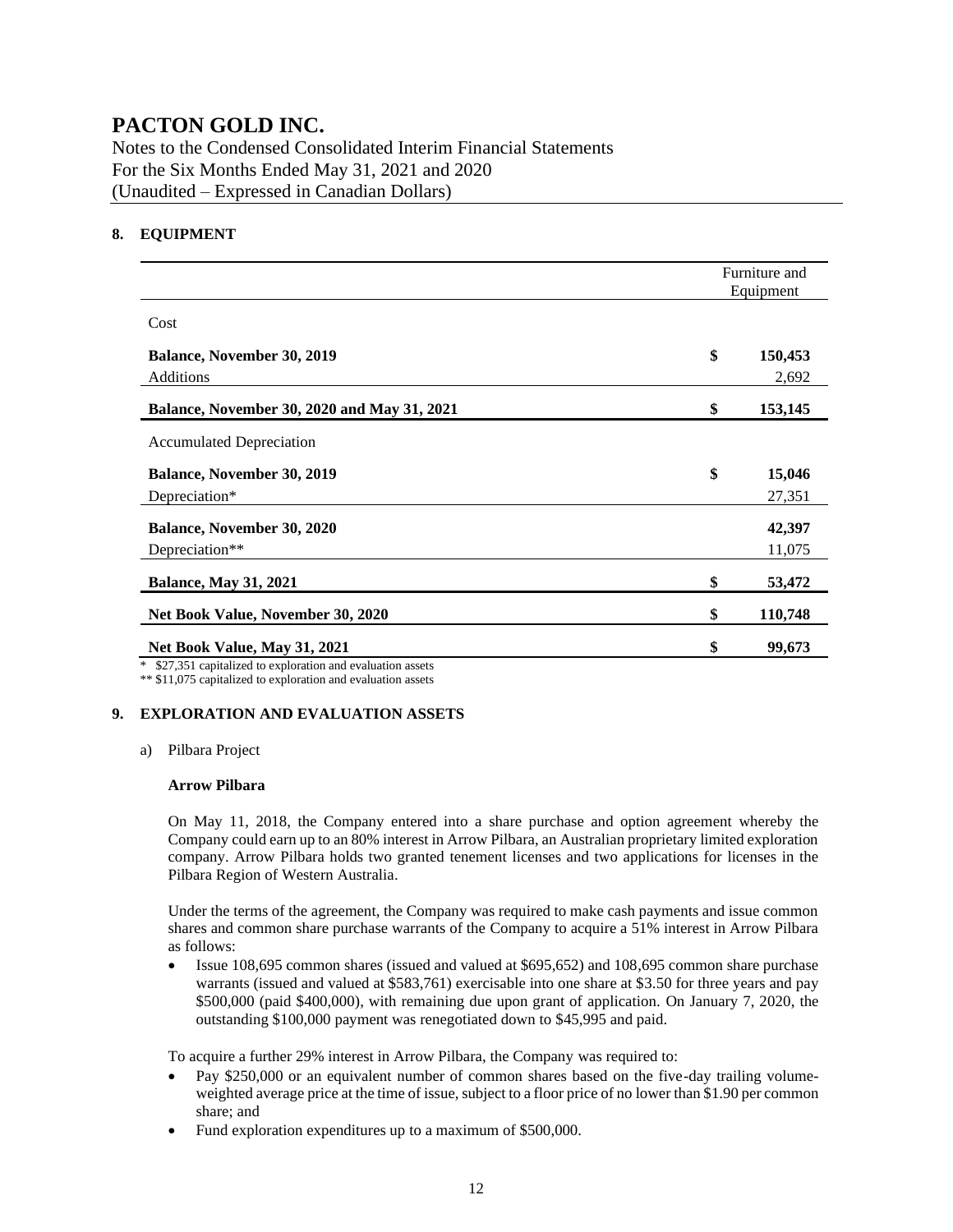Notes to the Condensed Consolidated Interim Financial Statements For the Six Months Ended May 31, 2021 and 2020 (Unaudited – Expressed in Canadian Dollars)

#### **8. EQUIPMENT**

|                                                             | Furniture and<br>Equipment |
|-------------------------------------------------------------|----------------------------|
| Cost                                                        |                            |
| <b>Balance, November 30, 2019</b>                           | \$<br>150,453              |
| Additions                                                   | 2,692                      |
| Balance, November 30, 2020 and May 31, 2021                 | \$<br>153,145              |
| <b>Accumulated Depreciation</b>                             |                            |
| <b>Balance, November 30, 2019</b>                           | \$<br>15,046               |
| Depreciation*                                               | 27,351                     |
| Balance, November 30, 2020                                  | 42,397                     |
| Depreciation**                                              | 11,075                     |
| <b>Balance, May 31, 2021</b>                                | \$<br>53,472               |
| Net Book Value, November 30, 2020                           | \$<br>110,748              |
| Net Book Value, May 31, 2021                                | \$<br>99,673               |
| * \$27,351 capitalized to exploration and evaluation assets |                            |

\*\* \$11,075 capitalized to exploration and evaluation assets

#### **9. EXPLORATION AND EVALUATION ASSETS**

a) Pilbara Project

#### **Arrow Pilbara**

On May 11, 2018, the Company entered into a share purchase and option agreement whereby the Company could earn up to an 80% interest in Arrow Pilbara, an Australian proprietary limited exploration company. Arrow Pilbara holds two granted tenement licenses and two applications for licenses in the Pilbara Region of Western Australia.

Under the terms of the agreement, the Company was required to make cash payments and issue common shares and common share purchase warrants of the Company to acquire a 51% interest in Arrow Pilbara as follows:

• Issue 108,695 common shares (issued and valued at \$695,652) and 108,695 common share purchase warrants (issued and valued at \$583,761) exercisable into one share at \$3.50 for three years and pay \$500,000 (paid \$400,000), with remaining due upon grant of application. On January 7, 2020, the outstanding \$100,000 payment was renegotiated down to \$45,995 and paid.

To acquire a further 29% interest in Arrow Pilbara, the Company was required to:

- Pay \$250,000 or an equivalent number of common shares based on the five-day trailing volumeweighted average price at the time of issue, subject to a floor price of no lower than \$1.90 per common share; and
- Fund exploration expenditures up to a maximum of \$500,000.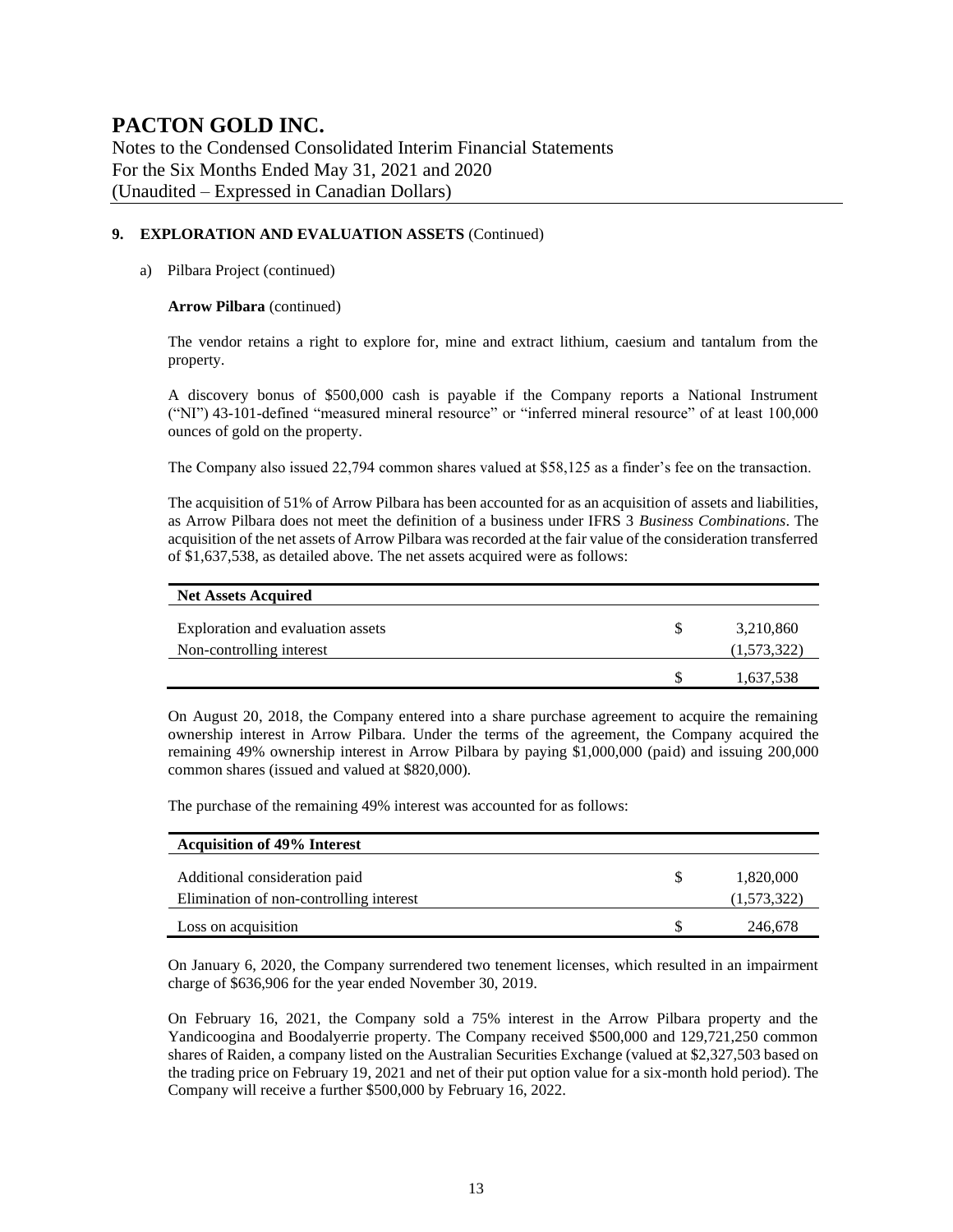Notes to the Condensed Consolidated Interim Financial Statements For the Six Months Ended May 31, 2021 and 2020 (Unaudited – Expressed in Canadian Dollars)

#### **9. EXPLORATION AND EVALUATION ASSETS** (Continued)

#### a) Pilbara Project (continued)

#### **Arrow Pilbara** (continued)

The vendor retains a right to explore for, mine and extract lithium, caesium and tantalum from the property.

A discovery bonus of \$500,000 cash is payable if the Company reports a National Instrument ("NI") 43-101-defined "measured mineral resource" or "inferred mineral resource" of at least 100,000 ounces of gold on the property.

The Company also issued 22,794 common shares valued at \$58,125 as a finder's fee on the transaction.

The acquisition of 51% of Arrow Pilbara has been accounted for as an acquisition of assets and liabilities, as Arrow Pilbara does not meet the definition of a business under IFRS 3 *Business Combinations*. The acquisition of the net assets of Arrow Pilbara was recorded at the fair value of the consideration transferred of \$1,637,538, as detailed above. The net assets acquired were as follows:

| <b>Net Assets Acquired</b>                                    |                          |
|---------------------------------------------------------------|--------------------------|
| Exploration and evaluation assets<br>Non-controlling interest | 3,210,860<br>(1,573,322) |
|                                                               | 1,637,538                |

On August 20, 2018, the Company entered into a share purchase agreement to acquire the remaining ownership interest in Arrow Pilbara. Under the terms of the agreement, the Company acquired the remaining 49% ownership interest in Arrow Pilbara by paying \$1,000,000 (paid) and issuing 200,000 common shares (issued and valued at \$820,000).

The purchase of the remaining 49% interest was accounted for as follows:

| <b>Acquisition of 49% Interest</b>      |             |
|-----------------------------------------|-------------|
| Additional consideration paid           | 1,820,000   |
| Elimination of non-controlling interest | (1,573,322) |
| Loss on acquisition                     | 246,678     |

On January 6, 2020, the Company surrendered two tenement licenses, which resulted in an impairment charge of \$636,906 for the year ended November 30, 2019.

On February 16, 2021, the Company sold a 75% interest in the Arrow Pilbara property and the Yandicoogina and Boodalyerrie property. The Company received \$500,000 and 129,721,250 common shares of Raiden, a company listed on the Australian Securities Exchange (valued at \$2,327,503 based on the trading price on February 19, 2021 and net of their put option value for a six-month hold period). The Company will receive a further \$500,000 by February 16, 2022.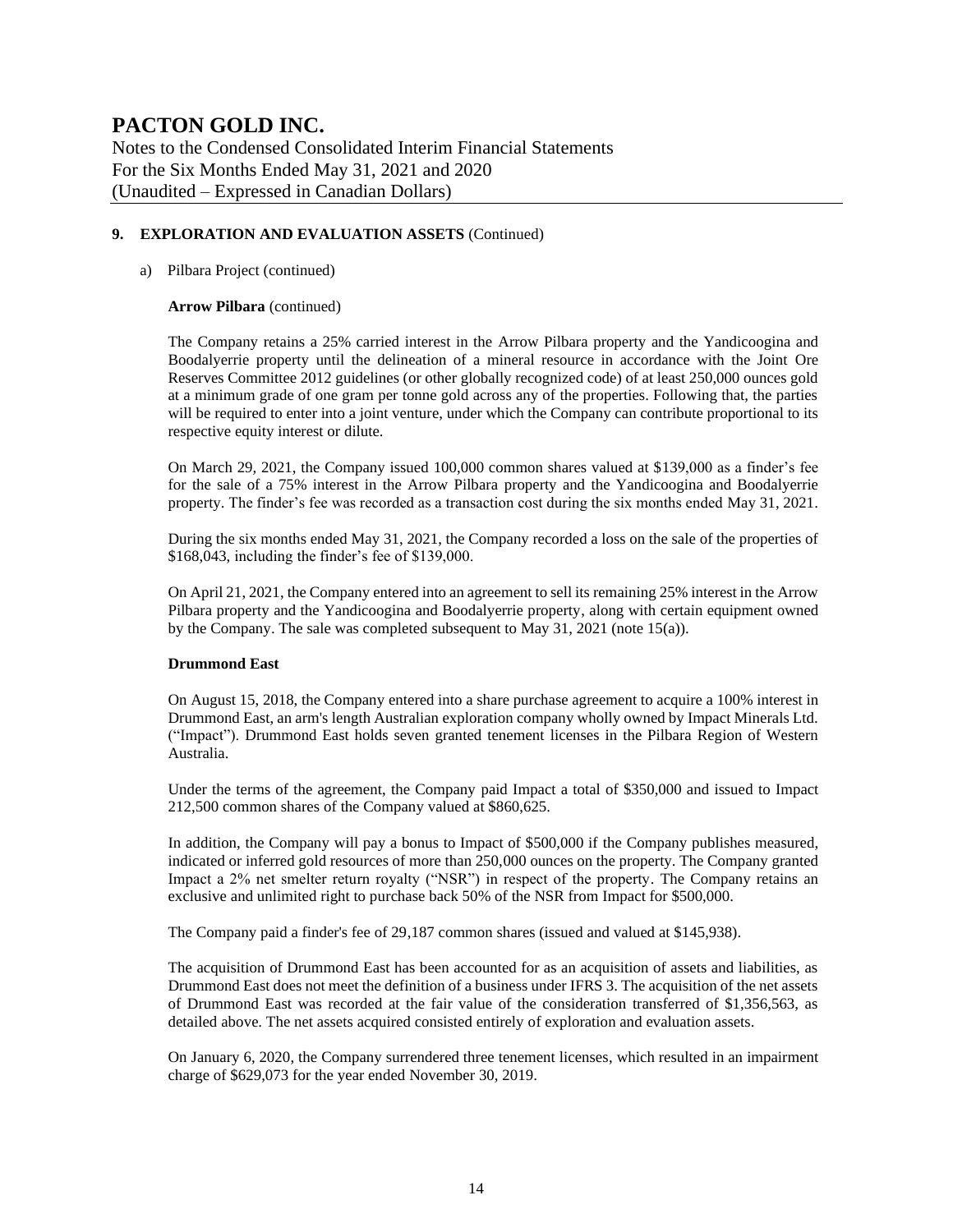Notes to the Condensed Consolidated Interim Financial Statements For the Six Months Ended May 31, 2021 and 2020 (Unaudited – Expressed in Canadian Dollars)

#### **9. EXPLORATION AND EVALUATION ASSETS** (Continued)

#### a) Pilbara Project (continued)

#### **Arrow Pilbara** (continued)

The Company retains a 25% carried interest in the Arrow Pilbara property and the Yandicoogina and Boodalyerrie property until the delineation of a mineral resource in accordance with the Joint Ore Reserves Committee 2012 guidelines (or other globally recognized code) of at least 250,000 ounces gold at a minimum grade of one gram per tonne gold across any of the properties. Following that, the parties will be required to enter into a joint venture, under which the Company can contribute proportional to its respective equity interest or dilute.

On March 29, 2021, the Company issued 100,000 common shares valued at \$139,000 as a finder's fee for the sale of a 75% interest in the Arrow Pilbara property and the Yandicoogina and Boodalyerrie property. The finder's fee was recorded as a transaction cost during the six months ended May 31, 2021.

During the six months ended May 31, 2021, the Company recorded a loss on the sale of the properties of \$168,043, including the finder's fee of \$139,000.

On April 21, 2021, the Company entered into an agreement to sell its remaining 25% interest in the Arrow Pilbara property and the Yandicoogina and Boodalyerrie property, along with certain equipment owned by the Company. The sale was completed subsequent to May 31, 2021 (note 15(a)).

#### **Drummond East**

On August 15, 2018, the Company entered into a share purchase agreement to acquire a 100% interest in Drummond East, an arm's length Australian exploration company wholly owned by Impact Minerals Ltd. ("Impact"). Drummond East holds seven granted tenement licenses in the Pilbara Region of Western Australia.

Under the terms of the agreement, the Company paid Impact a total of \$350,000 and issued to Impact 212,500 common shares of the Company valued at \$860,625.

In addition, the Company will pay a bonus to Impact of \$500,000 if the Company publishes measured, indicated or inferred gold resources of more than 250,000 ounces on the property. The Company granted Impact a 2% net smelter return royalty ("NSR") in respect of the property. The Company retains an exclusive and unlimited right to purchase back 50% of the NSR from Impact for \$500,000.

The Company paid a finder's fee of 29,187 common shares (issued and valued at \$145,938).

The acquisition of Drummond East has been accounted for as an acquisition of assets and liabilities, as Drummond East does not meet the definition of a business under IFRS 3. The acquisition of the net assets of Drummond East was recorded at the fair value of the consideration transferred of \$1,356,563, as detailed above. The net assets acquired consisted entirely of exploration and evaluation assets.

On January 6, 2020, the Company surrendered three tenement licenses, which resulted in an impairment charge of \$629,073 for the year ended November 30, 2019.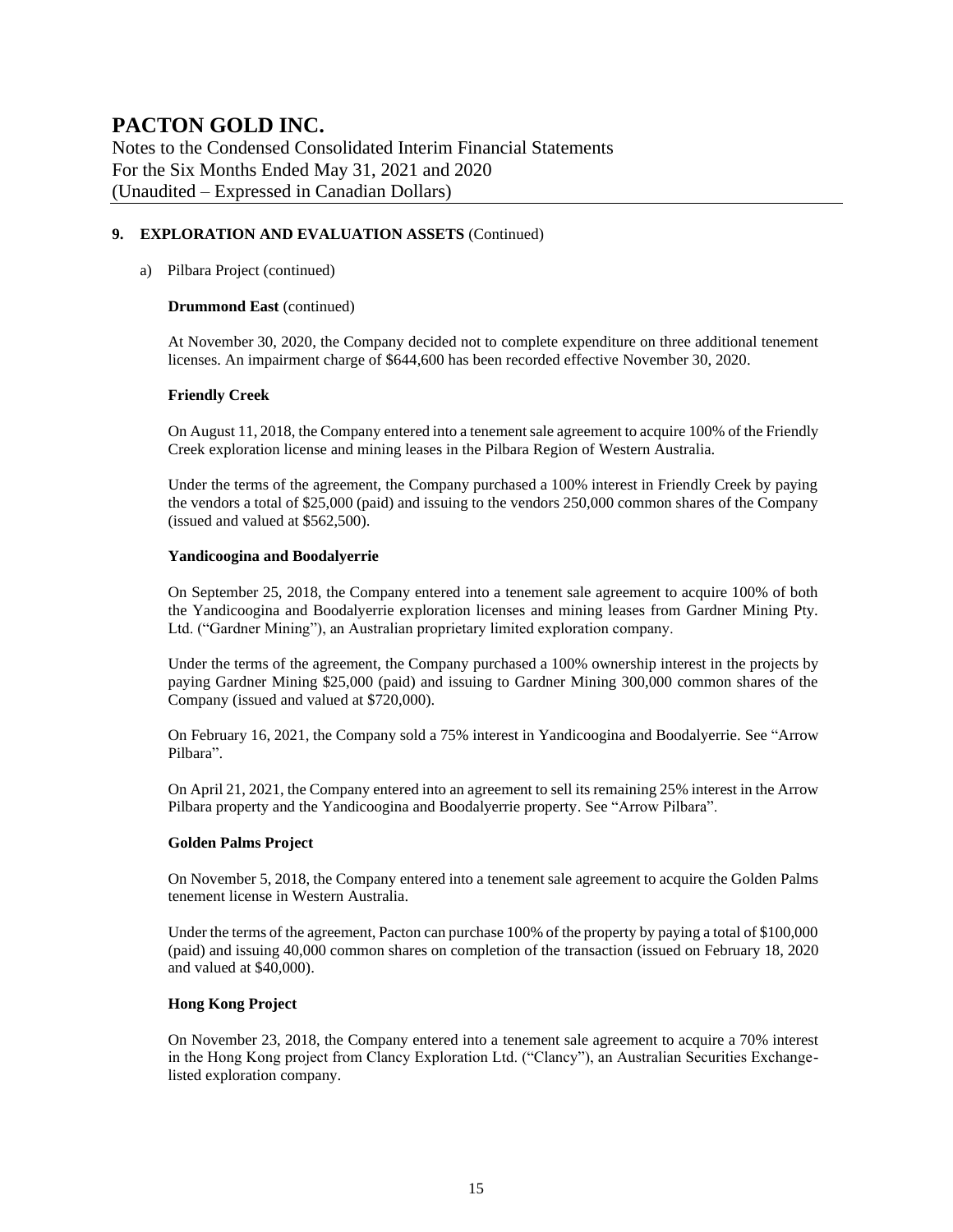Notes to the Condensed Consolidated Interim Financial Statements For the Six Months Ended May 31, 2021 and 2020 (Unaudited – Expressed in Canadian Dollars)

#### **9. EXPLORATION AND EVALUATION ASSETS** (Continued)

#### a) Pilbara Project (continued)

#### **Drummond East** (continued)

At November 30, 2020, the Company decided not to complete expenditure on three additional tenement licenses. An impairment charge of \$644,600 has been recorded effective November 30, 2020.

#### **Friendly Creek**

On August 11, 2018, the Company entered into a tenement sale agreement to acquire 100% of the Friendly Creek exploration license and mining leases in the Pilbara Region of Western Australia.

Under the terms of the agreement, the Company purchased a 100% interest in Friendly Creek by paying the vendors a total of \$25,000 (paid) and issuing to the vendors 250,000 common shares of the Company (issued and valued at \$562,500).

#### **Yandicoogina and Boodalyerrie**

On September 25, 2018, the Company entered into a tenement sale agreement to acquire 100% of both the Yandicoogina and Boodalyerrie exploration licenses and mining leases from Gardner Mining Pty. Ltd. ("Gardner Mining"), an Australian proprietary limited exploration company.

Under the terms of the agreement, the Company purchased a 100% ownership interest in the projects by paying Gardner Mining \$25,000 (paid) and issuing to Gardner Mining 300,000 common shares of the Company (issued and valued at \$720,000).

On February 16, 2021, the Company sold a 75% interest in Yandicoogina and Boodalyerrie. See "Arrow Pilbara".

On April 21, 2021, the Company entered into an agreement to sell its remaining 25% interest in the Arrow Pilbara property and the Yandicoogina and Boodalyerrie property. See "Arrow Pilbara".

#### **Golden Palms Project**

On November 5, 2018, the Company entered into a tenement sale agreement to acquire the Golden Palms tenement license in Western Australia.

Under the terms of the agreement, Pacton can purchase 100% of the property by paying a total of \$100,000 (paid) and issuing 40,000 common shares on completion of the transaction (issued on February 18, 2020 and valued at \$40,000).

#### **Hong Kong Project**

On November 23, 2018, the Company entered into a tenement sale agreement to acquire a 70% interest in the Hong Kong project from Clancy Exploration Ltd. ("Clancy"), an Australian Securities Exchangelisted exploration company.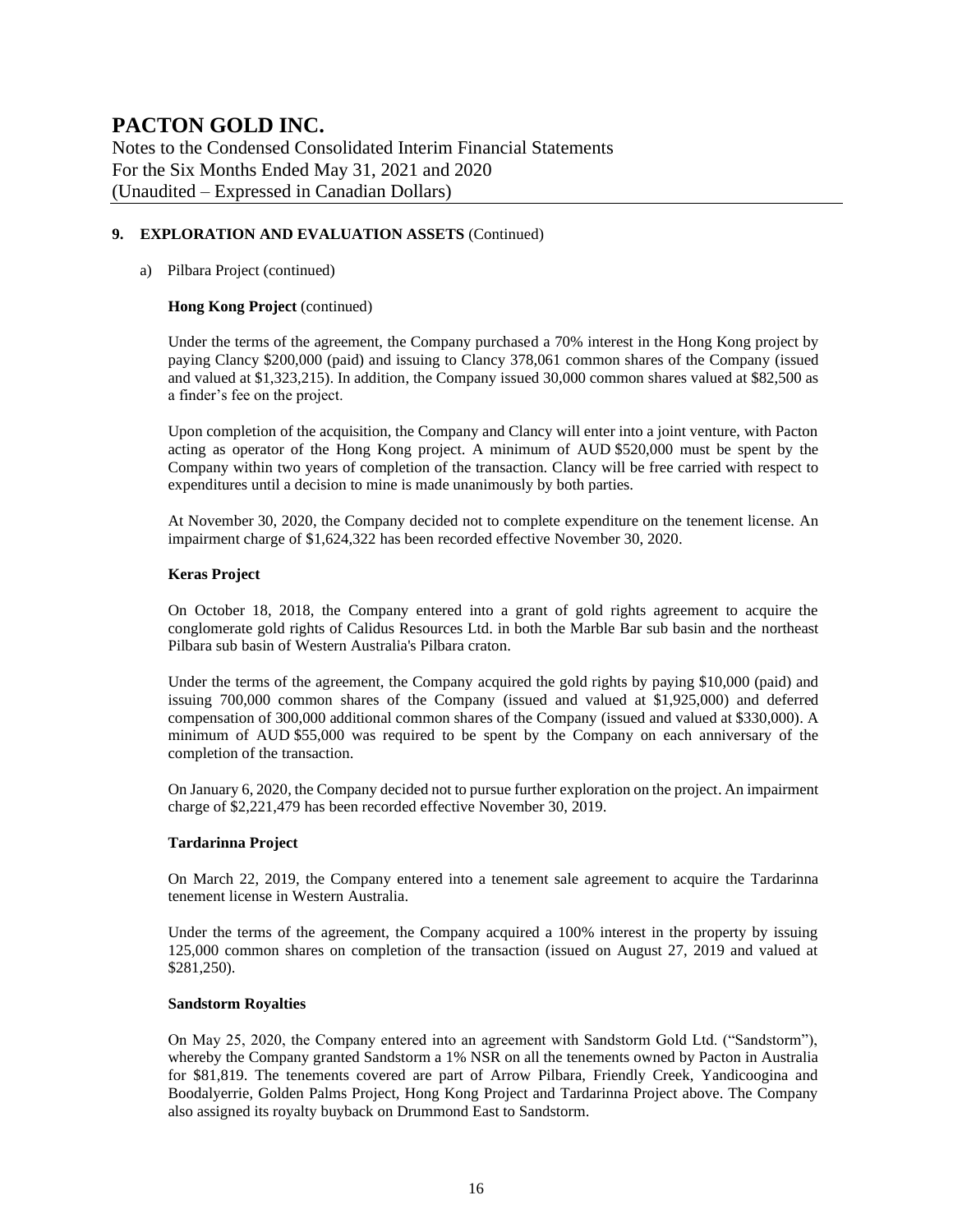Notes to the Condensed Consolidated Interim Financial Statements For the Six Months Ended May 31, 2021 and 2020 (Unaudited – Expressed in Canadian Dollars)

#### **9. EXPLORATION AND EVALUATION ASSETS** (Continued)

#### a) Pilbara Project (continued)

#### **Hong Kong Project** (continued)

Under the terms of the agreement, the Company purchased a 70% interest in the Hong Kong project by paying Clancy \$200,000 (paid) and issuing to Clancy 378,061 common shares of the Company (issued and valued at \$1,323,215). In addition, the Company issued 30,000 common shares valued at \$82,500 as a finder's fee on the project.

Upon completion of the acquisition, the Company and Clancy will enter into a joint venture, with Pacton acting as operator of the Hong Kong project. A minimum of AUD \$520,000 must be spent by the Company within two years of completion of the transaction. Clancy will be free carried with respect to expenditures until a decision to mine is made unanimously by both parties.

At November 30, 2020, the Company decided not to complete expenditure on the tenement license. An impairment charge of \$1,624,322 has been recorded effective November 30, 2020.

#### **Keras Project**

On October 18, 2018, the Company entered into a grant of gold rights agreement to acquire the conglomerate gold rights of Calidus Resources Ltd. in both the Marble Bar sub basin and the northeast Pilbara sub basin of Western Australia's Pilbara craton.

Under the terms of the agreement, the Company acquired the gold rights by paying \$10,000 (paid) and issuing 700,000 common shares of the Company (issued and valued at \$1,925,000) and deferred compensation of 300,000 additional common shares of the Company (issued and valued at \$330,000). A minimum of AUD \$55,000 was required to be spent by the Company on each anniversary of the completion of the transaction.

On January 6, 2020, the Company decided not to pursue further exploration on the project. An impairment charge of \$2,221,479 has been recorded effective November 30, 2019.

#### **Tardarinna Project**

On March 22, 2019, the Company entered into a tenement sale agreement to acquire the Tardarinna tenement license in Western Australia.

Under the terms of the agreement, the Company acquired a 100% interest in the property by issuing 125,000 common shares on completion of the transaction (issued on August 27, 2019 and valued at \$281,250).

#### **Sandstorm Royalties**

On May 25, 2020, the Company entered into an agreement with Sandstorm Gold Ltd. ("Sandstorm"), whereby the Company granted Sandstorm a 1% NSR on all the tenements owned by Pacton in Australia for \$81,819. The tenements covered are part of Arrow Pilbara, Friendly Creek, Yandicoogina and Boodalyerrie, Golden Palms Project, Hong Kong Project and Tardarinna Project above. The Company also assigned its royalty buyback on Drummond East to Sandstorm.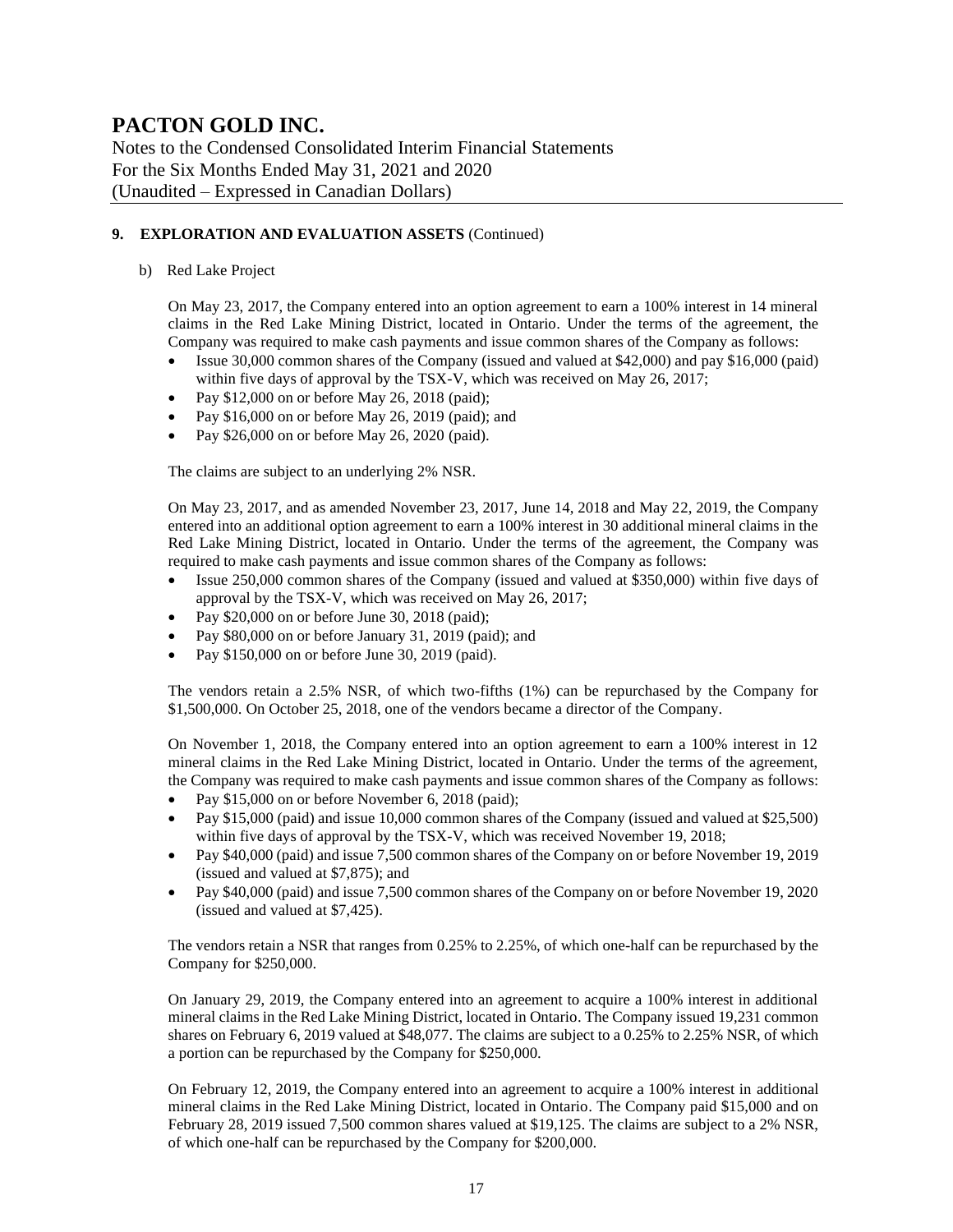Notes to the Condensed Consolidated Interim Financial Statements For the Six Months Ended May 31, 2021 and 2020 (Unaudited – Expressed in Canadian Dollars)

#### **9. EXPLORATION AND EVALUATION ASSETS** (Continued)

b) Red Lake Project

On May 23, 2017, the Company entered into an option agreement to earn a 100% interest in 14 mineral claims in the Red Lake Mining District, located in Ontario. Under the terms of the agreement, the Company was required to make cash payments and issue common shares of the Company as follows:

- Issue 30,000 common shares of the Company (issued and valued at \$42,000) and pay \$16,000 (paid) within five days of approval by the TSX-V, which was received on May 26, 2017;
- Pay  $$12,000$  on or before May 26, 2018 (paid);
- Pay \$16,000 on or before May 26, 2019 (paid); and
- Pay \$26,000 on or before May 26, 2020 (paid).

The claims are subject to an underlying 2% NSR.

On May 23, 2017, and as amended November 23, 2017, June 14, 2018 and May 22, 2019, the Company entered into an additional option agreement to earn a 100% interest in 30 additional mineral claims in the Red Lake Mining District, located in Ontario. Under the terms of the agreement, the Company was required to make cash payments and issue common shares of the Company as follows:

- Issue 250,000 common shares of the Company (issued and valued at \$350,000) within five days of approval by the TSX-V, which was received on May 26, 2017;
- Pay \$20,000 on or before June 30, 2018 (paid);
- Pay \$80,000 on or before January 31, 2019 (paid); and
- Pay \$150,000 on or before June 30, 2019 (paid).

The vendors retain a 2.5% NSR, of which two-fifths (1%) can be repurchased by the Company for \$1,500,000. On October 25, 2018, one of the vendors became a director of the Company.

On November 1, 2018, the Company entered into an option agreement to earn a 100% interest in 12 mineral claims in the Red Lake Mining District, located in Ontario. Under the terms of the agreement, the Company was required to make cash payments and issue common shares of the Company as follows:

- Pay \$15,000 on or before November 6, 2018 (paid);
- Pay \$15,000 (paid) and issue 10,000 common shares of the Company (issued and valued at \$25,500) within five days of approval by the TSX-V, which was received November 19, 2018;
- Pay \$40,000 (paid) and issue 7,500 common shares of the Company on or before November 19, 2019 (issued and valued at \$7,875); and
- Pay \$40,000 (paid) and issue 7,500 common shares of the Company on or before November 19, 2020 (issued and valued at \$7,425).

The vendors retain a NSR that ranges from 0.25% to 2.25%, of which one-half can be repurchased by the Company for \$250,000.

On January 29, 2019, the Company entered into an agreement to acquire a 100% interest in additional mineral claims in the Red Lake Mining District, located in Ontario. The Company issued 19,231 common shares on February 6, 2019 valued at \$48,077. The claims are subject to a 0.25% to 2.25% NSR, of which a portion can be repurchased by the Company for \$250,000.

On February 12, 2019, the Company entered into an agreement to acquire a 100% interest in additional mineral claims in the Red Lake Mining District, located in Ontario. The Company paid \$15,000 and on February 28, 2019 issued 7,500 common shares valued at \$19,125. The claims are subject to a 2% NSR, of which one-half can be repurchased by the Company for \$200,000.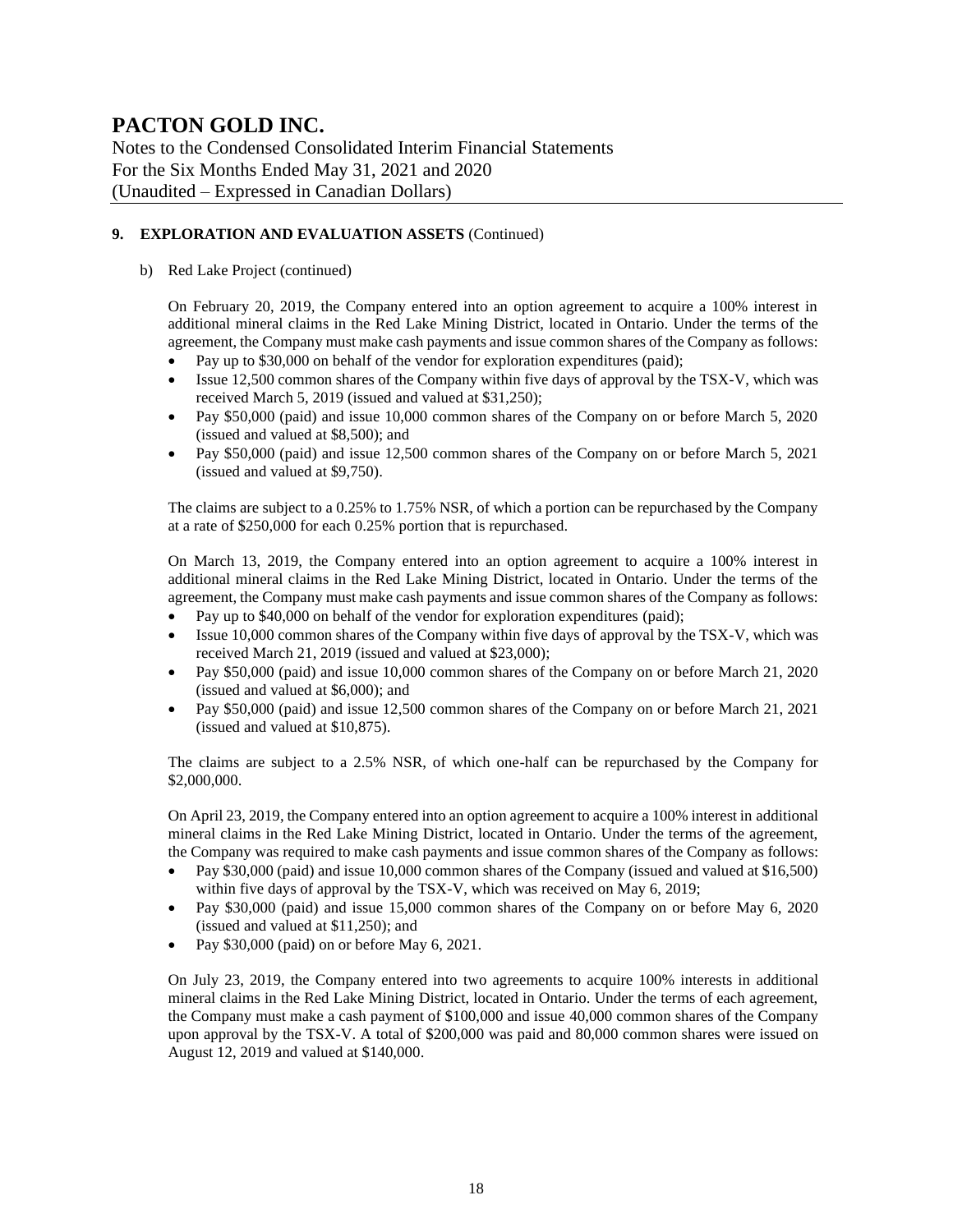Notes to the Condensed Consolidated Interim Financial Statements For the Six Months Ended May 31, 2021 and 2020 (Unaudited – Expressed in Canadian Dollars)

#### **9. EXPLORATION AND EVALUATION ASSETS** (Continued)

#### b) Red Lake Project (continued)

On February 20, 2019, the Company entered into an option agreement to acquire a 100% interest in additional mineral claims in the Red Lake Mining District, located in Ontario. Under the terms of the agreement, the Company must make cash payments and issue common shares of the Company as follows:

- Pay up to \$30,000 on behalf of the vendor for exploration expenditures (paid);
- Issue 12,500 common shares of the Company within five days of approval by the TSX-V, which was received March 5, 2019 (issued and valued at \$31,250);
- Pay \$50,000 (paid) and issue 10,000 common shares of the Company on or before March 5, 2020 (issued and valued at \$8,500); and
- Pay \$50,000 (paid) and issue 12,500 common shares of the Company on or before March 5, 2021 (issued and valued at \$9,750).

The claims are subject to a 0.25% to 1.75% NSR, of which a portion can be repurchased by the Company at a rate of \$250,000 for each 0.25% portion that is repurchased.

On March 13, 2019, the Company entered into an option agreement to acquire a 100% interest in additional mineral claims in the Red Lake Mining District, located in Ontario. Under the terms of the agreement, the Company must make cash payments and issue common shares of the Company as follows:

- Pay up to \$40,000 on behalf of the vendor for exploration expenditures (paid);
- Issue 10,000 common shares of the Company within five days of approval by the TSX-V, which was received March 21, 2019 (issued and valued at \$23,000);
- Pay \$50,000 (paid) and issue 10,000 common shares of the Company on or before March 21, 2020 (issued and valued at \$6,000); and
- Pay \$50,000 (paid) and issue 12,500 common shares of the Company on or before March 21, 2021 (issued and valued at \$10,875).

The claims are subject to a 2.5% NSR, of which one-half can be repurchased by the Company for \$2,000,000.

On April 23, 2019, the Company entered into an option agreement to acquire a 100% interest in additional mineral claims in the Red Lake Mining District, located in Ontario. Under the terms of the agreement, the Company was required to make cash payments and issue common shares of the Company as follows:

- Pay \$30,000 (paid) and issue 10,000 common shares of the Company (issued and valued at \$16,500) within five days of approval by the TSX-V, which was received on May 6, 2019;
- Pay \$30,000 (paid) and issue 15,000 common shares of the Company on or before May 6, 2020 (issued and valued at \$11,250); and
- Pay \$30,000 (paid) on or before May 6, 2021.

On July 23, 2019, the Company entered into two agreements to acquire 100% interests in additional mineral claims in the Red Lake Mining District, located in Ontario. Under the terms of each agreement, the Company must make a cash payment of \$100,000 and issue 40,000 common shares of the Company upon approval by the TSX-V. A total of \$200,000 was paid and 80,000 common shares were issued on August 12, 2019 and valued at \$140,000.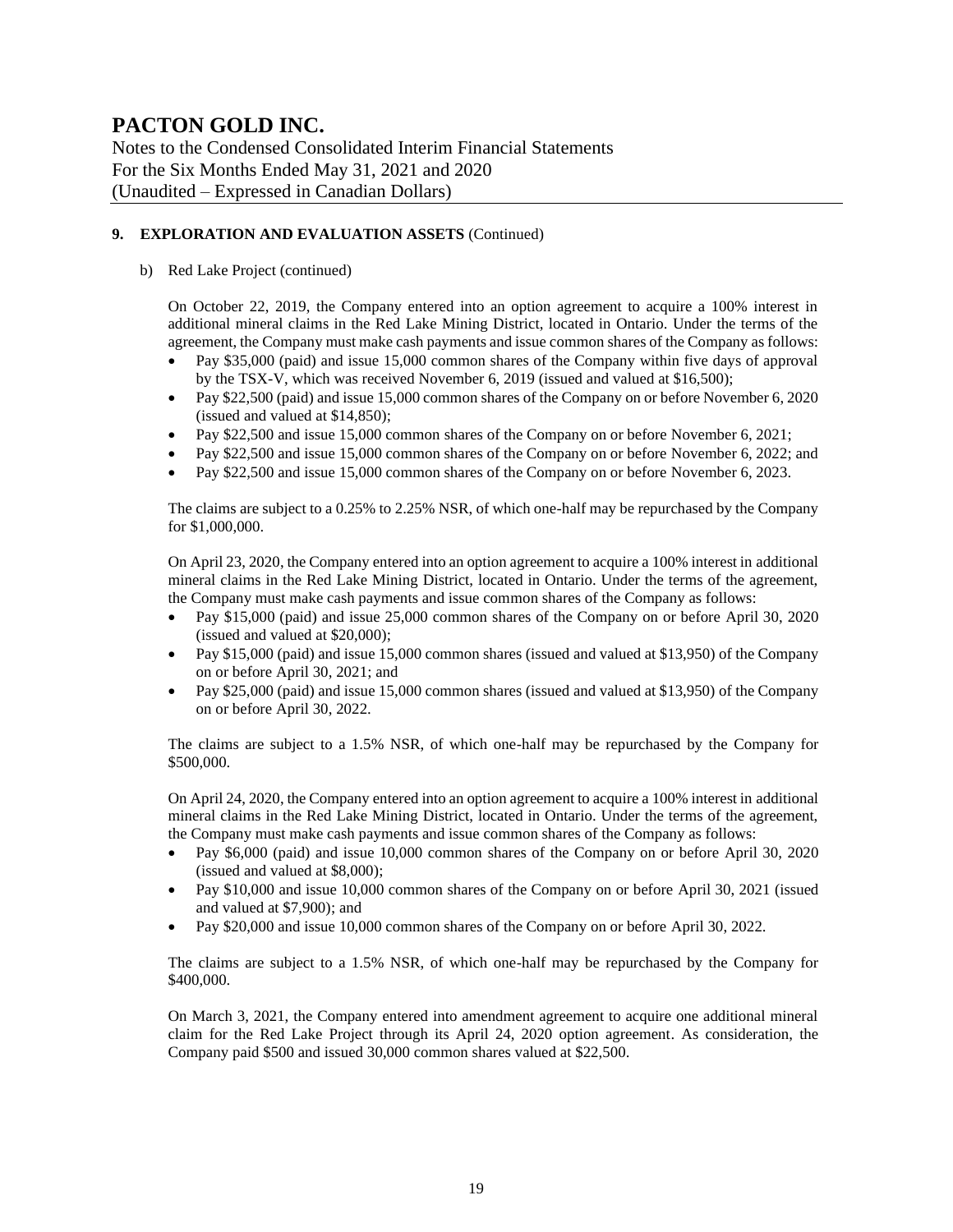Notes to the Condensed Consolidated Interim Financial Statements For the Six Months Ended May 31, 2021 and 2020 (Unaudited – Expressed in Canadian Dollars)

#### **9. EXPLORATION AND EVALUATION ASSETS** (Continued)

#### b) Red Lake Project (continued)

On October 22, 2019, the Company entered into an option agreement to acquire a 100% interest in additional mineral claims in the Red Lake Mining District, located in Ontario. Under the terms of the agreement, the Company must make cash payments and issue common shares of the Company as follows:

- Pay \$35,000 (paid) and issue 15,000 common shares of the Company within five days of approval by the TSX-V, which was received November 6, 2019 (issued and valued at \$16,500);
- Pay \$22,500 (paid) and issue 15,000 common shares of the Company on or before November 6, 2020 (issued and valued at \$14,850);
- Pay \$22,500 and issue 15,000 common shares of the Company on or before November 6, 2021;
- Pay \$22,500 and issue 15,000 common shares of the Company on or before November 6, 2022; and
- Pay \$22,500 and issue 15,000 common shares of the Company on or before November 6, 2023.

The claims are subject to a 0.25% to 2.25% NSR, of which one-half may be repurchased by the Company for \$1,000,000.

On April 23, 2020, the Company entered into an option agreement to acquire a 100% interest in additional mineral claims in the Red Lake Mining District, located in Ontario. Under the terms of the agreement, the Company must make cash payments and issue common shares of the Company as follows:

- Pay \$15,000 (paid) and issue 25,000 common shares of the Company on or before April 30, 2020 (issued and valued at \$20,000);
- Pay \$15,000 (paid) and issue 15,000 common shares (issued and valued at \$13,950) of the Company on or before April 30, 2021; and
- Pay \$25,000 (paid) and issue 15,000 common shares (issued and valued at \$13,950) of the Company on or before April 30, 2022.

The claims are subject to a 1.5% NSR, of which one-half may be repurchased by the Company for \$500,000.

On April 24, 2020, the Company entered into an option agreement to acquire a 100% interest in additional mineral claims in the Red Lake Mining District, located in Ontario. Under the terms of the agreement, the Company must make cash payments and issue common shares of the Company as follows:

- Pay \$6,000 (paid) and issue 10,000 common shares of the Company on or before April 30, 2020 (issued and valued at \$8,000);
- Pay \$10,000 and issue 10,000 common shares of the Company on or before April 30, 2021 (issued and valued at \$7,900); and
- Pay \$20,000 and issue 10,000 common shares of the Company on or before April 30, 2022.

The claims are subject to a 1.5% NSR, of which one-half may be repurchased by the Company for \$400,000.

On March 3, 2021, the Company entered into amendment agreement to acquire one additional mineral claim for the Red Lake Project through its April 24, 2020 option agreement. As consideration, the Company paid \$500 and issued 30,000 common shares valued at \$22,500.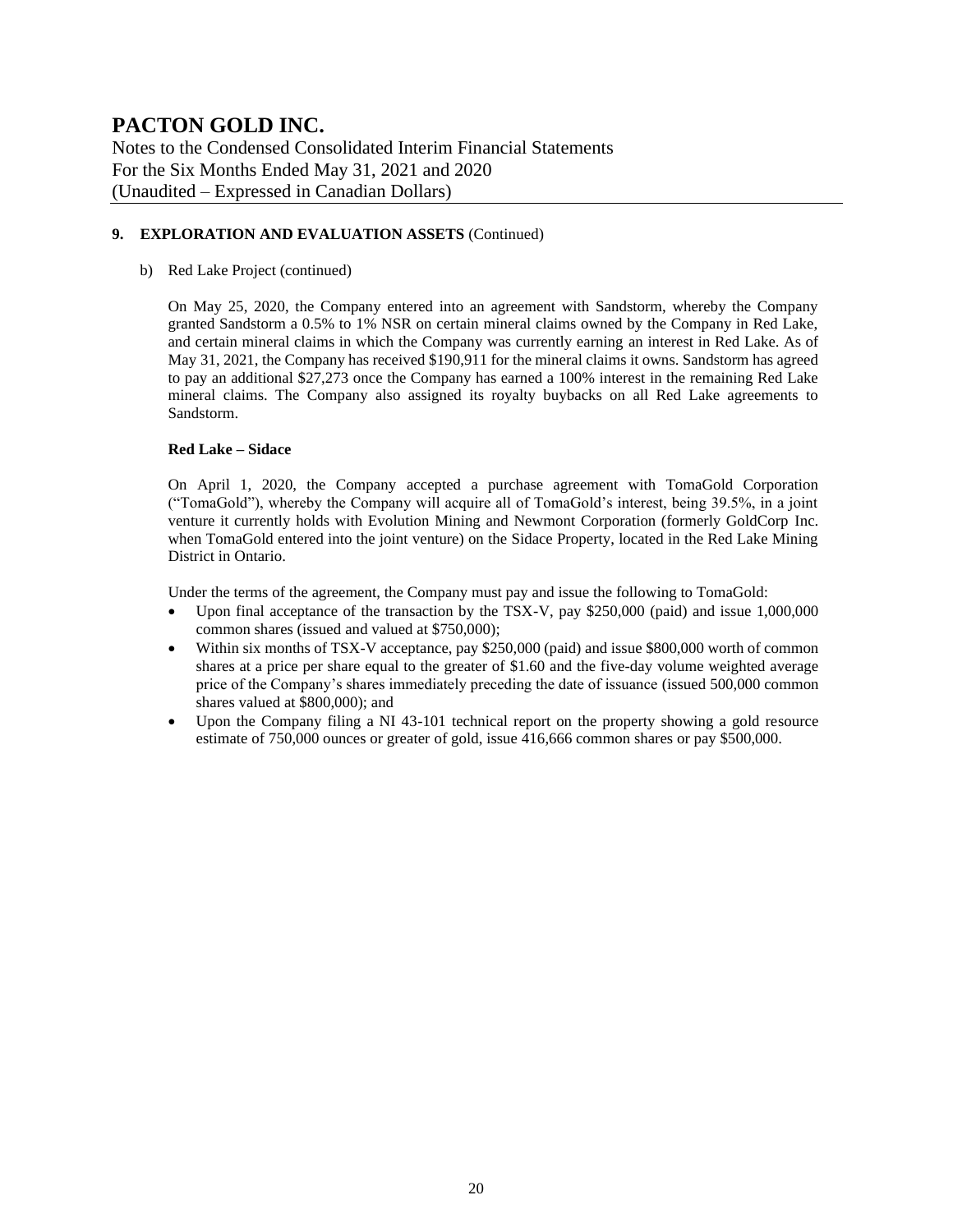Notes to the Condensed Consolidated Interim Financial Statements For the Six Months Ended May 31, 2021 and 2020 (Unaudited – Expressed in Canadian Dollars)

#### **9. EXPLORATION AND EVALUATION ASSETS** (Continued)

#### b) Red Lake Project (continued)

On May 25, 2020, the Company entered into an agreement with Sandstorm, whereby the Company granted Sandstorm a 0.5% to 1% NSR on certain mineral claims owned by the Company in Red Lake, and certain mineral claims in which the Company was currently earning an interest in Red Lake. As of May 31, 2021, the Company has received \$190,911 for the mineral claims it owns. Sandstorm has agreed to pay an additional \$27,273 once the Company has earned a 100% interest in the remaining Red Lake mineral claims. The Company also assigned its royalty buybacks on all Red Lake agreements to Sandstorm.

#### **Red Lake – Sidace**

On April 1, 2020, the Company accepted a purchase agreement with TomaGold Corporation ("TomaGold"), whereby the Company will acquire all of TomaGold's interest, being 39.5%, in a joint venture it currently holds with Evolution Mining and Newmont Corporation (formerly GoldCorp Inc. when TomaGold entered into the joint venture) on the Sidace Property, located in the Red Lake Mining District in Ontario.

Under the terms of the agreement, the Company must pay and issue the following to TomaGold:

- Upon final acceptance of the transaction by the TSX-V, pay \$250,000 (paid) and issue 1,000,000 common shares (issued and valued at \$750,000);
- Within six months of TSX-V acceptance, pay \$250,000 (paid) and issue \$800,000 worth of common shares at a price per share equal to the greater of \$1.60 and the five-day volume weighted average price of the Company's shares immediately preceding the date of issuance (issued 500,000 common shares valued at \$800,000); and
- Upon the Company filing a NI 43-101 technical report on the property showing a gold resource estimate of 750,000 ounces or greater of gold, issue 416,666 common shares or pay \$500,000.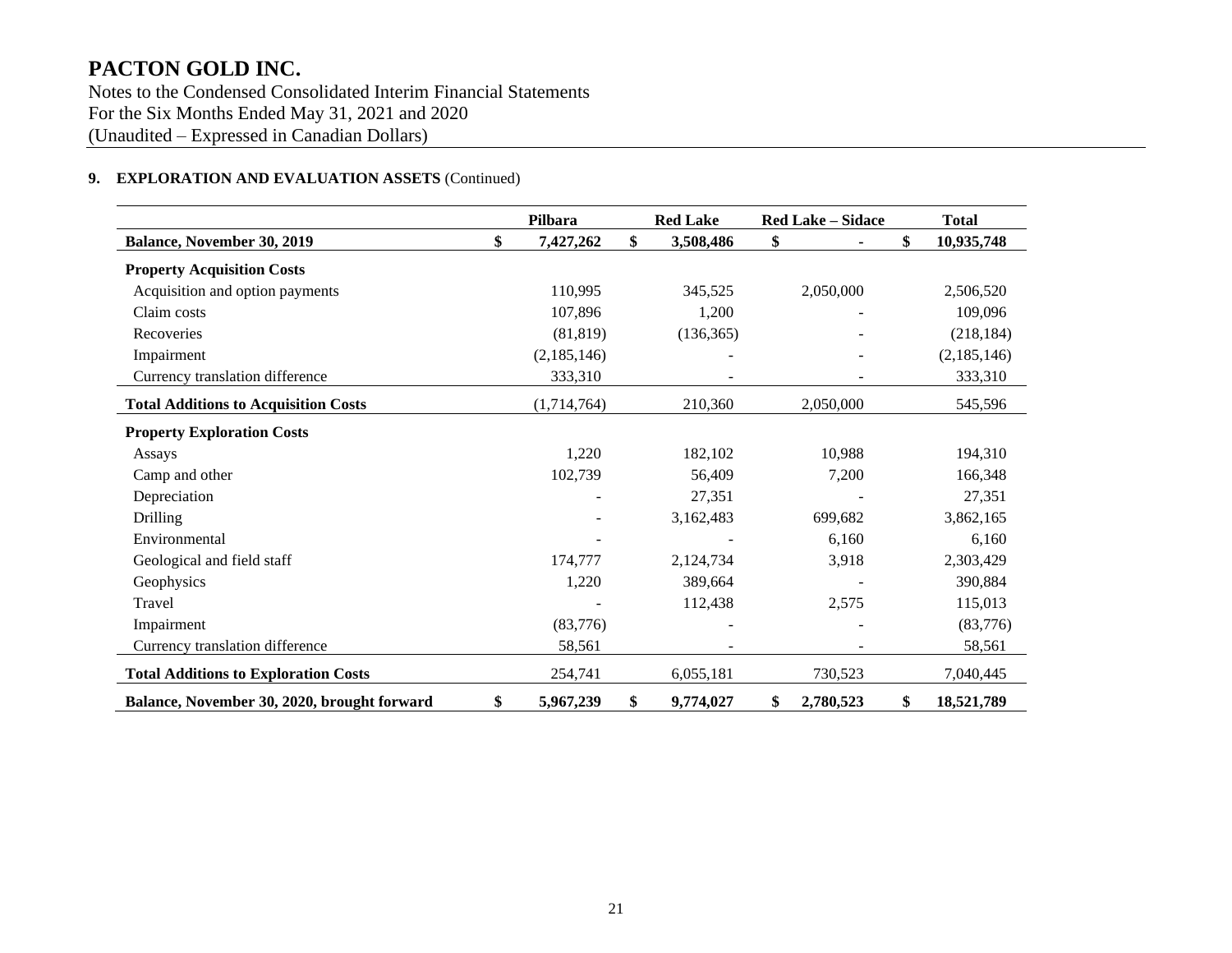Notes to the Condensed Consolidated Interim Financial Statements For the Six Months Ended May 31, 2021 and 2020 (Unaudited – Expressed in Canadian Dollars)

#### **9. EXPLORATION AND EVALUATION ASSETS** (Continued)

|                                             | Pilbara         | <b>Red Lake</b> | Red Lake - Sidace | <b>Total</b>     |
|---------------------------------------------|-----------------|-----------------|-------------------|------------------|
| Balance, November 30, 2019                  | \$<br>7,427,262 | \$<br>3,508,486 | \$                | \$<br>10,935,748 |
| <b>Property Acquisition Costs</b>           |                 |                 |                   |                  |
| Acquisition and option payments             | 110,995         | 345,525         | 2,050,000         | 2,506,520        |
| Claim costs                                 | 107,896         | 1,200           |                   | 109,096          |
| Recoveries                                  | (81, 819)       | (136, 365)      |                   | (218, 184)       |
| Impairment                                  | (2,185,146)     |                 |                   | (2,185,146)      |
| Currency translation difference             | 333,310         |                 |                   | 333,310          |
| <b>Total Additions to Acquisition Costs</b> | (1,714,764)     | 210,360         | 2,050,000         | 545,596          |
| <b>Property Exploration Costs</b>           |                 |                 |                   |                  |
| Assays                                      | 1,220           | 182,102         | 10,988            | 194,310          |
| Camp and other                              | 102,739         | 56,409          | 7,200             | 166,348          |
| Depreciation                                |                 | 27,351          |                   | 27,351           |
| <b>Drilling</b>                             |                 | 3,162,483       | 699,682           | 3,862,165        |
| Environmental                               |                 |                 | 6,160             | 6,160            |
| Geological and field staff                  | 174,777         | 2,124,734       | 3,918             | 2,303,429        |
| Geophysics                                  | 1,220           | 389,664         |                   | 390,884          |
| Travel                                      |                 | 112,438         | 2,575             | 115,013          |
| Impairment                                  | (83,776)        |                 |                   | (83,776)         |
| Currency translation difference             | 58,561          |                 |                   | 58,561           |
| <b>Total Additions to Exploration Costs</b> | 254,741         | 6,055,181       | 730,523           | 7,040,445        |
| Balance, November 30, 2020, brought forward | \$<br>5,967,239 | \$<br>9,774,027 | 2,780,523<br>\$   | \$<br>18,521,789 |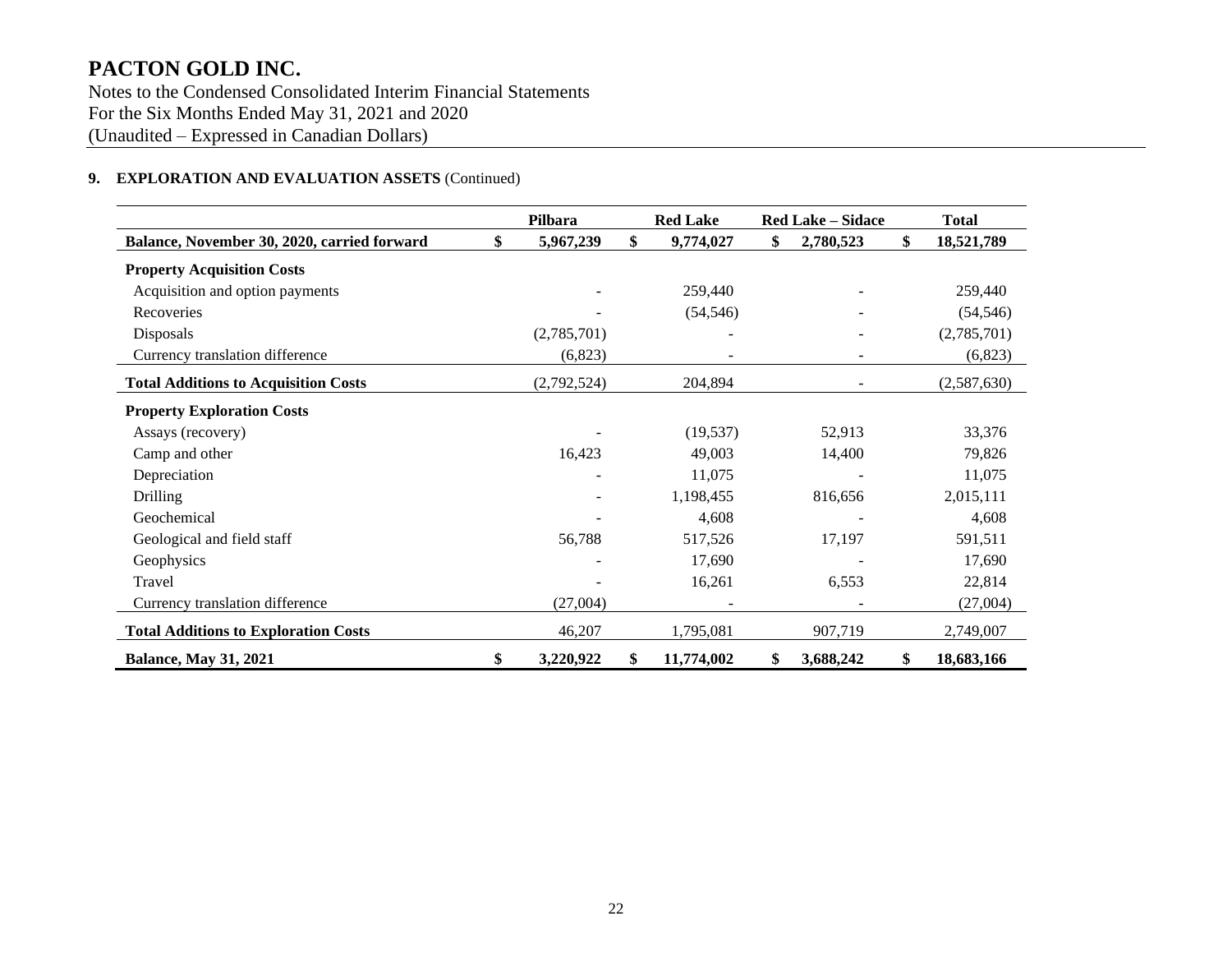Notes to the Condensed Consolidated Interim Financial Statements For the Six Months Ended May 31, 2021 and 2020 (Unaudited – Expressed in Canadian Dollars)

#### **9. EXPLORATION AND EVALUATION ASSETS** (Continued)

|                                             | Pilbara         |    | <b>Red Lake</b> | <b>Red Lake - Sidace</b> | <b>Total</b>     |
|---------------------------------------------|-----------------|----|-----------------|--------------------------|------------------|
| Balance, November 30, 2020, carried forward | \$<br>5,967,239 | \$ | 9,774,027       | \$<br>2,780,523          | \$<br>18,521,789 |
| <b>Property Acquisition Costs</b>           |                 |    |                 |                          |                  |
| Acquisition and option payments             |                 |    | 259,440         |                          | 259,440          |
| Recoveries                                  |                 |    | (54, 546)       |                          | (54, 546)        |
| Disposals                                   | (2,785,701)     |    |                 |                          | (2,785,701)      |
| Currency translation difference             | (6,823)         |    |                 |                          | (6,823)          |
| <b>Total Additions to Acquisition Costs</b> | (2,792,524)     |    | 204,894         |                          | (2,587,630)      |
| <b>Property Exploration Costs</b>           |                 |    |                 |                          |                  |
| Assays (recovery)                           |                 |    | (19, 537)       | 52,913                   | 33,376           |
| Camp and other                              | 16,423          |    | 49,003          | 14,400                   | 79,826           |
| Depreciation                                |                 |    | 11,075          |                          | 11,075           |
| <b>Drilling</b>                             |                 |    | 1,198,455       | 816,656                  | 2,015,111        |
| Geochemical                                 |                 |    | 4,608           |                          | 4,608            |
| Geological and field staff                  | 56,788          |    | 517,526         | 17,197                   | 591,511          |
| Geophysics                                  |                 |    | 17,690          |                          | 17,690           |
| Travel                                      |                 |    | 16,261          | 6,553                    | 22,814           |
| Currency translation difference             | (27,004)        |    |                 |                          | (27,004)         |
| <b>Total Additions to Exploration Costs</b> | 46,207          |    | 1,795,081       | 907,719                  | 2,749,007        |
| <b>Balance, May 31, 2021</b>                | \$<br>3,220,922 | S. | 11,774,002      | \$<br>3,688,242          | \$<br>18,683,166 |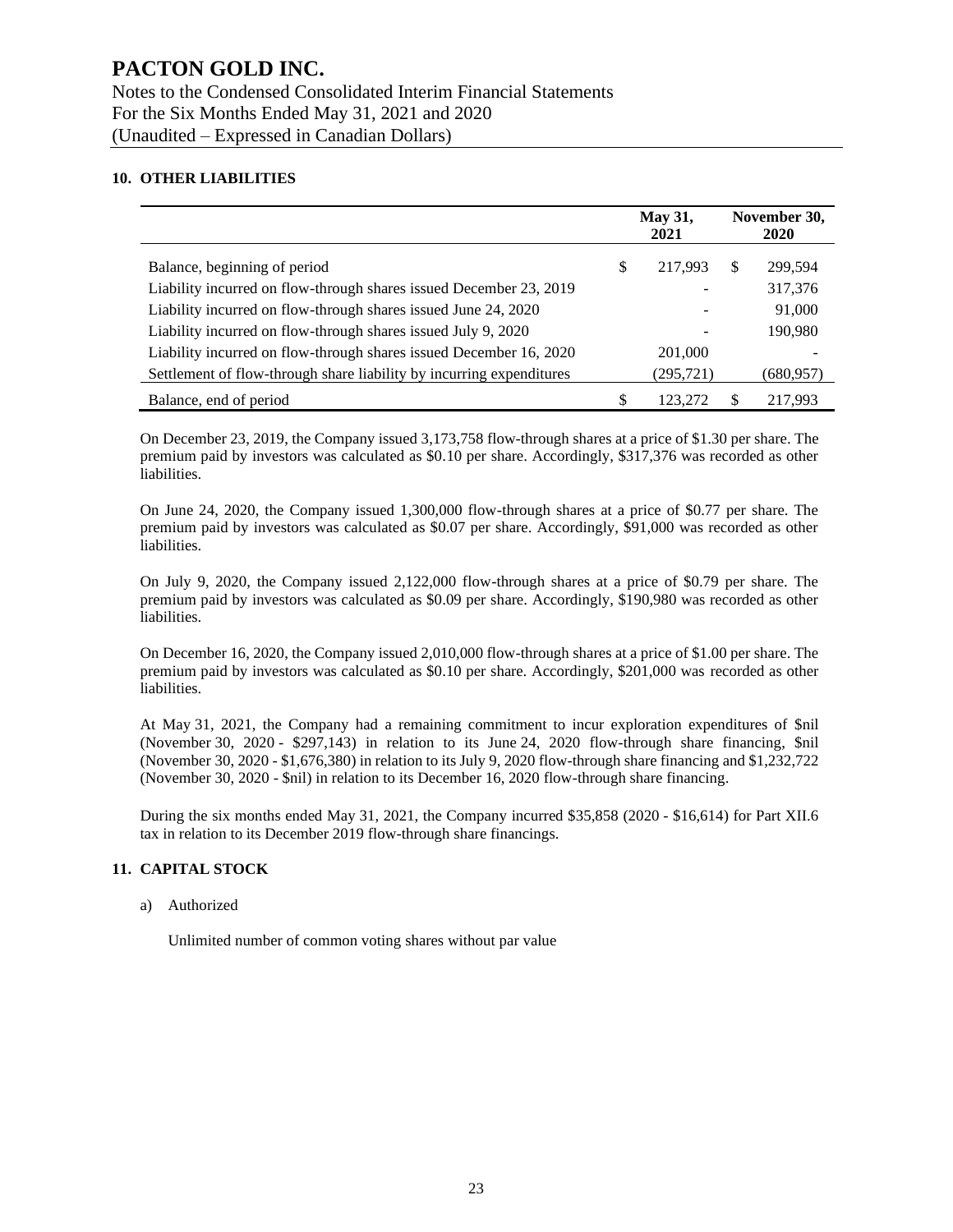#### **10. OTHER LIABILITIES**

|                                                                      | <b>May 31,</b><br>2021 |           | November 30,<br><b>2020</b> |           |
|----------------------------------------------------------------------|------------------------|-----------|-----------------------------|-----------|
| Balance, beginning of period                                         | \$                     | 217.993   | S.                          | 299,594   |
| Liability incurred on flow-through shares issued December 23, 2019   |                        |           |                             | 317,376   |
| Liability incurred on flow-through shares issued June 24, 2020       |                        |           |                             | 91,000    |
| Liability incurred on flow-through shares issued July 9, 2020        |                        |           |                             | 190,980   |
| Liability incurred on flow-through shares issued December 16, 2020   |                        | 201,000   |                             |           |
| Settlement of flow-through share liability by incurring expenditures |                        | (295,721) |                             | (680,957) |
| Balance, end of period                                               | \$                     | 123.272   | S                           | 217.993   |

On December 23, 2019, the Company issued 3,173,758 flow-through shares at a price of \$1.30 per share. The premium paid by investors was calculated as \$0.10 per share. Accordingly, \$317,376 was recorded as other liabilities.

On June 24, 2020, the Company issued 1,300,000 flow-through shares at a price of \$0.77 per share. The premium paid by investors was calculated as \$0.07 per share. Accordingly, \$91,000 was recorded as other liabilities.

On July 9, 2020, the Company issued 2,122,000 flow-through shares at a price of \$0.79 per share. The premium paid by investors was calculated as \$0.09 per share. Accordingly, \$190,980 was recorded as other liabilities.

On December 16, 2020, the Company issued 2,010,000 flow-through shares at a price of \$1.00 per share. The premium paid by investors was calculated as \$0.10 per share. Accordingly, \$201,000 was recorded as other liabilities.

At May 31, 2021, the Company had a remaining commitment to incur exploration expenditures of \$nil (November 30, 2020 - \$297,143) in relation to its June 24, 2020 flow-through share financing, \$nil (November 30, 2020 - \$1,676,380) in relation to its July 9, 2020 flow-through share financing and \$1,232,722 (November 30, 2020 - \$nil) in relation to its December 16, 2020 flow-through share financing.

During the six months ended May 31, 2021, the Company incurred \$35,858 (2020 - \$16,614) for Part XII.6 tax in relation to its December 2019 flow-through share financings.

#### **11. CAPITAL STOCK**

a) Authorized

Unlimited number of common voting shares without par value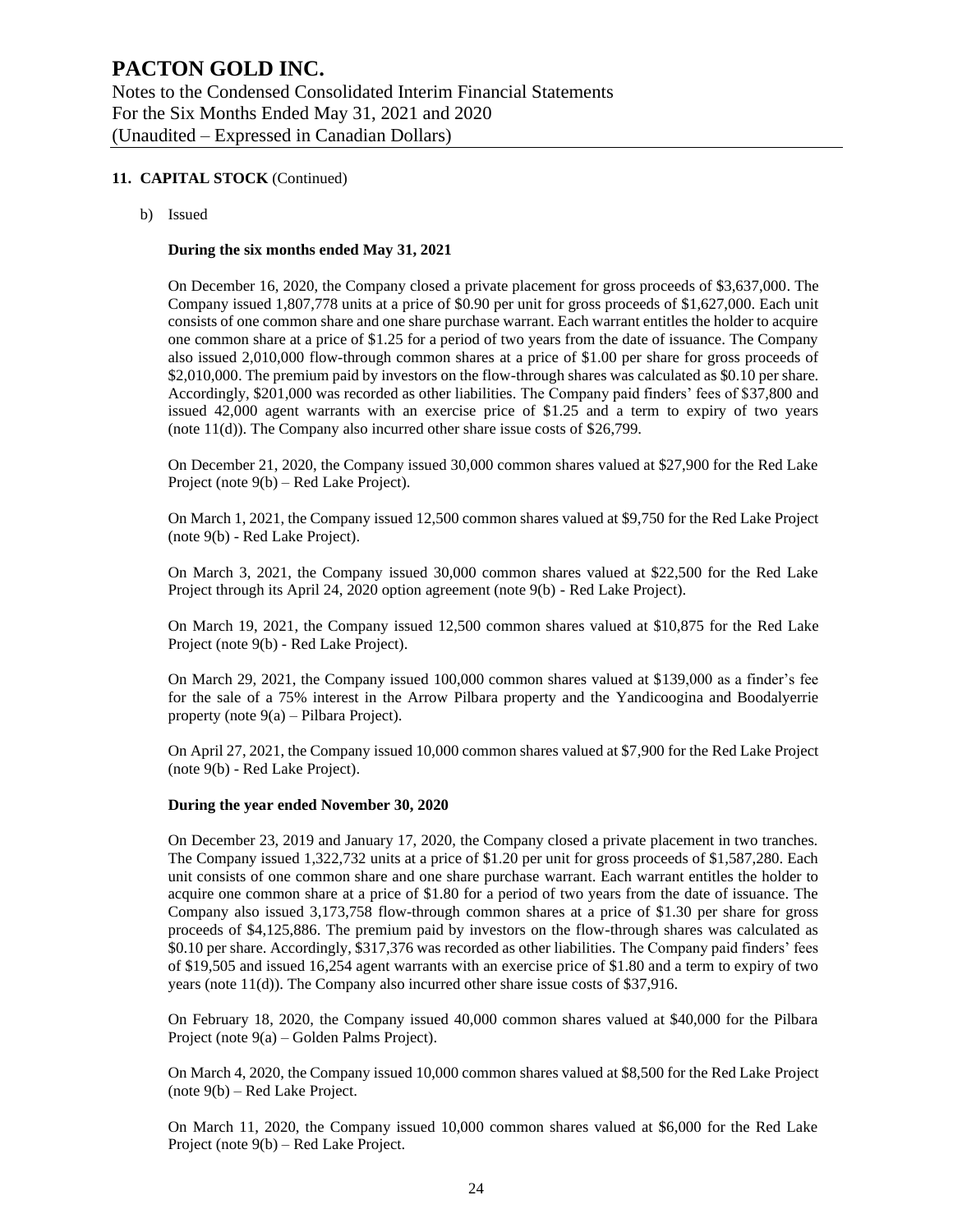#### **11. CAPITAL STOCK** (Continued)

b) Issued

#### **During the six months ended May 31, 2021**

On December 16, 2020, the Company closed a private placement for gross proceeds of \$3,637,000. The Company issued 1,807,778 units at a price of \$0.90 per unit for gross proceeds of \$1,627,000. Each unit consists of one common share and one share purchase warrant. Each warrant entitles the holder to acquire one common share at a price of \$1.25 for a period of two years from the date of issuance. The Company also issued 2,010,000 flow-through common shares at a price of \$1.00 per share for gross proceeds of \$2,010,000. The premium paid by investors on the flow-through shares was calculated as \$0.10 per share. Accordingly, \$201,000 was recorded as other liabilities. The Company paid finders' fees of \$37,800 and issued 42,000 agent warrants with an exercise price of \$1.25 and a term to expiry of two years (note 11(d)). The Company also incurred other share issue costs of \$26,799.

On December 21, 2020, the Company issued 30,000 common shares valued at \$27,900 for the Red Lake Project (note 9(b) – Red Lake Project).

On March 1, 2021, the Company issued 12,500 common shares valued at \$9,750 for the Red Lake Project (note 9(b) - Red Lake Project).

On March 3, 2021, the Company issued 30,000 common shares valued at \$22,500 for the Red Lake Project through its April 24, 2020 option agreement (note 9(b) - Red Lake Project).

On March 19, 2021, the Company issued 12,500 common shares valued at \$10,875 for the Red Lake Project (note 9(b) - Red Lake Project).

On March 29, 2021, the Company issued 100,000 common shares valued at \$139,000 as a finder's fee for the sale of a 75% interest in the Arrow Pilbara property and the Yandicoogina and Boodalyerrie property (note 9(a) – Pilbara Project).

On April 27, 2021, the Company issued 10,000 common shares valued at \$7,900 for the Red Lake Project (note 9(b) - Red Lake Project).

#### **During the year ended November 30, 2020**

On December 23, 2019 and January 17, 2020, the Company closed a private placement in two tranches. The Company issued 1,322,732 units at a price of \$1.20 per unit for gross proceeds of \$1,587,280. Each unit consists of one common share and one share purchase warrant. Each warrant entitles the holder to acquire one common share at a price of \$1.80 for a period of two years from the date of issuance. The Company also issued 3,173,758 flow-through common shares at a price of \$1.30 per share for gross proceeds of \$4,125,886. The premium paid by investors on the flow-through shares was calculated as \$0.10 per share. Accordingly, \$317,376 was recorded as other liabilities. The Company paid finders' fees of \$19,505 and issued 16,254 agent warrants with an exercise price of \$1.80 and a term to expiry of two years (note 11(d)). The Company also incurred other share issue costs of \$37,916.

On February 18, 2020, the Company issued 40,000 common shares valued at \$40,000 for the Pilbara Project (note 9(a) – Golden Palms Project).

On March 4, 2020, the Company issued 10,000 common shares valued at \$8,500 for the Red Lake Project (note 9(b) – Red Lake Project.

On March 11, 2020, the Company issued 10,000 common shares valued at \$6,000 for the Red Lake Project (note 9(b) – Red Lake Project.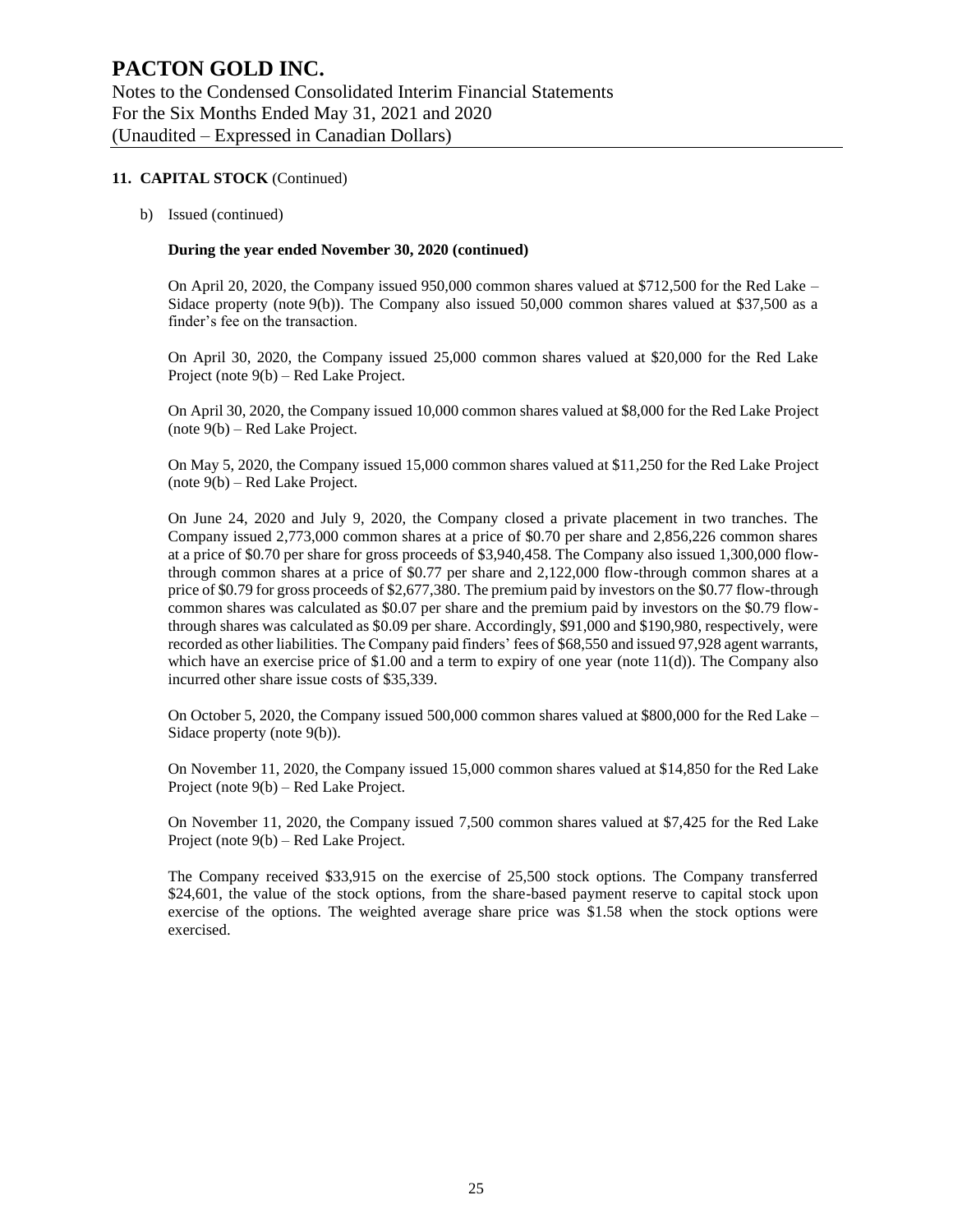#### **11. CAPITAL STOCK** (Continued)

b) Issued (continued)

#### **During the year ended November 30, 2020 (continued)**

On April 20, 2020, the Company issued 950,000 common shares valued at \$712,500 for the Red Lake – Sidace property (note 9(b)). The Company also issued 50,000 common shares valued at \$37,500 as a finder's fee on the transaction.

On April 30, 2020, the Company issued 25,000 common shares valued at \$20,000 for the Red Lake Project (note 9(b) – Red Lake Project.

On April 30, 2020, the Company issued 10,000 common shares valued at \$8,000 for the Red Lake Project (note 9(b) – Red Lake Project.

On May 5, 2020, the Company issued 15,000 common shares valued at \$11,250 for the Red Lake Project (note 9(b) – Red Lake Project.

On June 24, 2020 and July 9, 2020, the Company closed a private placement in two tranches. The Company issued 2,773,000 common shares at a price of \$0.70 per share and 2,856,226 common shares at a price of \$0.70 per share for gross proceeds of \$3,940,458. The Company also issued 1,300,000 flowthrough common shares at a price of \$0.77 per share and 2,122,000 flow-through common shares at a price of \$0.79 for gross proceeds of \$2,677,380. The premium paid by investors on the \$0.77 flow-through common shares was calculated as \$0.07 per share and the premium paid by investors on the \$0.79 flowthrough shares was calculated as \$0.09 per share. Accordingly, \$91,000 and \$190,980, respectively, were recorded as other liabilities. The Company paid finders' fees of \$68,550 and issued 97,928 agent warrants, which have an exercise price of  $$1.00$  and a term to expiry of one year (note  $11(d)$ ). The Company also incurred other share issue costs of \$35,339.

On October 5, 2020, the Company issued 500,000 common shares valued at \$800,000 for the Red Lake – Sidace property (note 9(b)).

On November 11, 2020, the Company issued 15,000 common shares valued at \$14,850 for the Red Lake Project (note 9(b) – Red Lake Project.

On November 11, 2020, the Company issued 7,500 common shares valued at \$7,425 for the Red Lake Project (note 9(b) – Red Lake Project.

The Company received \$33,915 on the exercise of 25,500 stock options. The Company transferred \$24,601, the value of the stock options, from the share-based payment reserve to capital stock upon exercise of the options. The weighted average share price was \$1.58 when the stock options were exercised.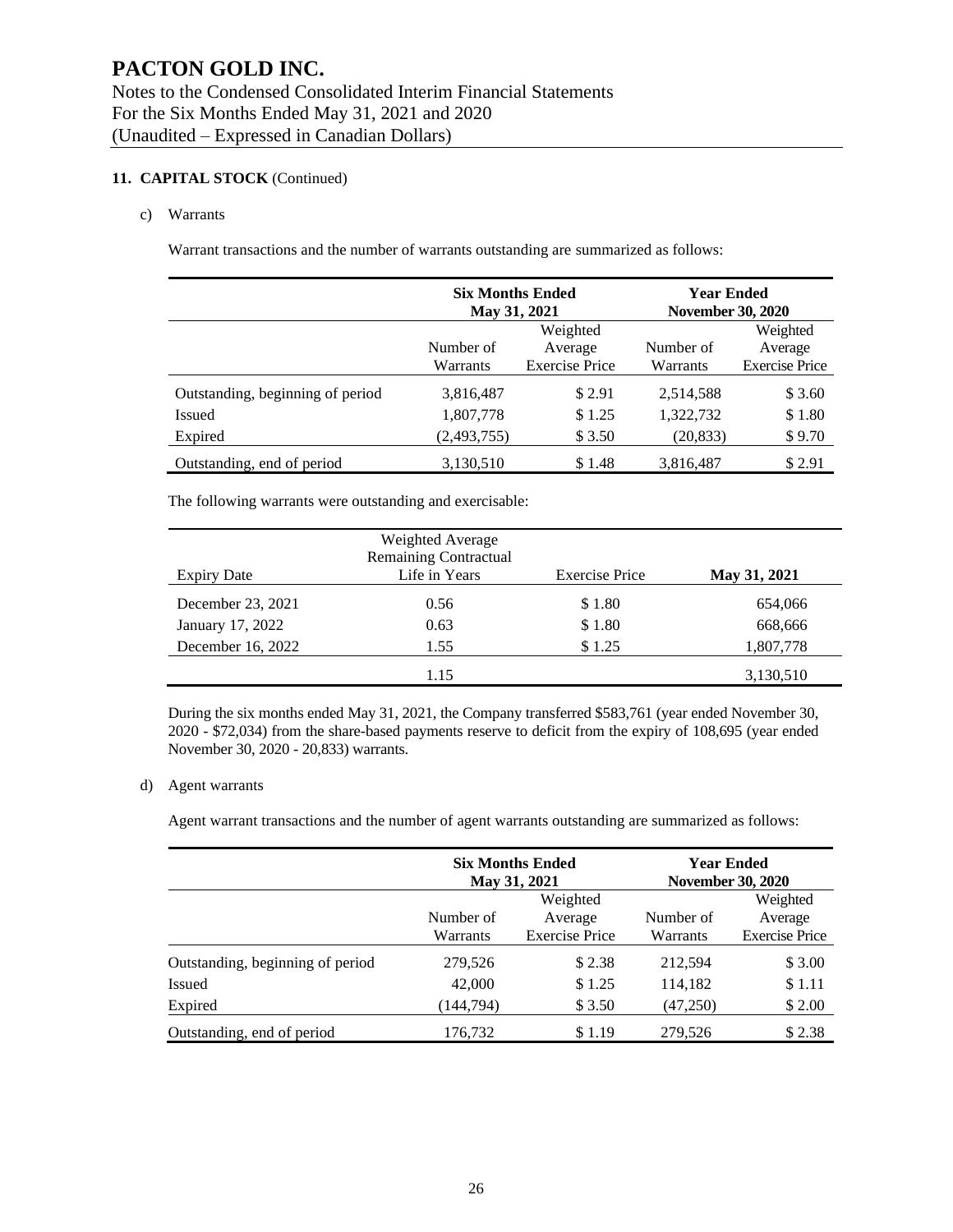#### **11. CAPITAL STOCK** (Continued)

#### c) Warrants

Warrant transactions and the number of warrants outstanding are summarized as follows:

|                                  | <b>Six Months Ended</b><br>May 31, 2021 |                       | Year Ended<br><b>November 30, 2020</b> |                       |  |
|----------------------------------|-----------------------------------------|-----------------------|----------------------------------------|-----------------------|--|
|                                  | Number of                               | Weighted<br>Average   | Number of                              | Weighted<br>Average   |  |
|                                  | Warrants                                | <b>Exercise Price</b> | Warrants                               | <b>Exercise Price</b> |  |
| Outstanding, beginning of period | 3,816,487                               | \$2.91                | 2,514,588                              | \$3.60                |  |
| <b>Issued</b>                    | 1,807,778                               | \$1.25                | 1,322,732                              | \$1.80                |  |
| Expired                          | (2,493,755)                             | \$ 3.50               | (20, 833)                              | \$9.70                |  |
| Outstanding, end of period       | 3,130,510                               | \$1.48                | 3,816,487                              | \$2.91                |  |

The following warrants were outstanding and exercisable:

|                   | Weighted Average<br><b>Remaining Contractual</b> |                       |              |
|-------------------|--------------------------------------------------|-----------------------|--------------|
| Expiry Date       | Life in Years                                    | <b>Exercise Price</b> | May 31, 2021 |
| December 23, 2021 | 0.56                                             | \$1.80                | 654,066      |
| January 17, 2022  | 0.63                                             | \$1.80                | 668,666      |
| December 16, 2022 | 1.55                                             | \$1.25                | 1,807,778    |
|                   | 1.15                                             |                       | 3,130,510    |

During the six months ended May 31, 2021, the Company transferred \$583,761 (year ended November 30, 2020 - \$72,034) from the share-based payments reserve to deficit from the expiry of 108,695 (year ended November 30, 2020 - 20,833) warrants.

#### d) Agent warrants

Agent warrant transactions and the number of agent warrants outstanding are summarized as follows:

|                                  |                       | <b>Six Months Ended</b><br>May 31, 2021      | <b>Year Ended</b><br><b>November 30, 2020</b> |                                              |  |
|----------------------------------|-----------------------|----------------------------------------------|-----------------------------------------------|----------------------------------------------|--|
|                                  | Number of<br>Warrants | Weighted<br>Average<br><b>Exercise Price</b> | Number of<br>Warrants                         | Weighted<br>Average<br><b>Exercise Price</b> |  |
| Outstanding, beginning of period | 279,526               | \$2.38                                       | 212,594                                       | \$3.00                                       |  |
| Issued                           | 42,000                | \$1.25                                       | 114,182                                       | \$1.11                                       |  |
| Expired                          | (144,794)             | \$3.50                                       | (47,250)                                      | \$2.00                                       |  |
| Outstanding, end of period       | 176,732               | \$1.19                                       | 279,526                                       | \$2.38                                       |  |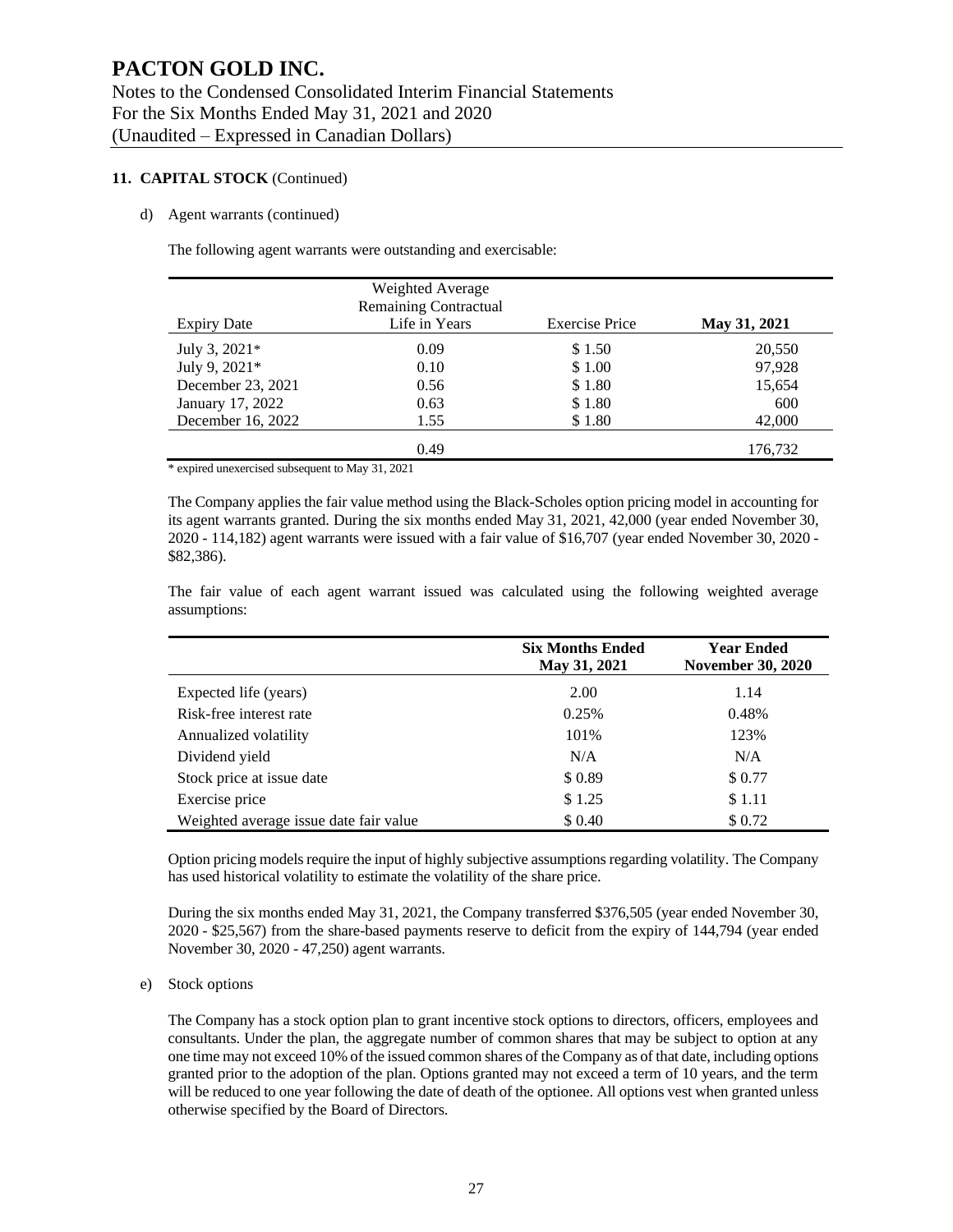#### **11. CAPITAL STOCK** (Continued)

#### d) Agent warrants (continued)

The following agent warrants were outstanding and exercisable:

|                    | Weighted Average<br><b>Remaining Contractual</b> |                       |              |
|--------------------|--------------------------------------------------|-----------------------|--------------|
| <b>Expiry Date</b> | Life in Years                                    | <b>Exercise Price</b> | May 31, 2021 |
| July 3, 2021*      | 0.09                                             | \$1.50                | 20,550       |
| July 9, 2021*      | 0.10                                             | \$1.00                | 97,928       |
| December 23, 2021  | 0.56                                             | \$1.80                | 15,654       |
| January 17, 2022   | 0.63                                             | \$1.80                | 600          |
| December 16, 2022  | 1.55                                             | \$1.80                | 42,000       |
|                    | 0.49                                             |                       | 176,732      |

\* expired unexercised subsequent to May 31, 2021

The Company applies the fair value method using the Black-Scholes option pricing model in accounting for its agent warrants granted. During the six months ended May 31, 2021, 42,000 (year ended November 30, 2020 - 114,182) agent warrants were issued with a fair value of \$16,707 (year ended November 30, 2020 - \$82,386).

The fair value of each agent warrant issued was calculated using the following weighted average assumptions:

|                                        | <b>Six Months Ended</b><br>May 31, 2021 | <b>Year Ended</b><br><b>November 30, 2020</b> |
|----------------------------------------|-----------------------------------------|-----------------------------------------------|
| Expected life (years)                  | 2.00                                    | 1.14                                          |
| Risk-free interest rate                | 0.25%                                   | 0.48%                                         |
| Annualized volatility                  | 101%                                    | 123%                                          |
| Dividend yield                         | N/A                                     | N/A                                           |
| Stock price at issue date              | \$0.89                                  | \$0.77                                        |
| Exercise price                         | \$1.25                                  | \$1.11                                        |
| Weighted average issue date fair value | \$0.40                                  | \$0.72                                        |

Option pricing models require the input of highly subjective assumptions regarding volatility. The Company has used historical volatility to estimate the volatility of the share price.

During the six months ended May 31, 2021, the Company transferred \$376,505 (year ended November 30, 2020 - \$25,567) from the share-based payments reserve to deficit from the expiry of 144,794 (year ended November 30, 2020 - 47,250) agent warrants.

#### e) Stock options

The Company has a stock option plan to grant incentive stock options to directors, officers, employees and consultants. Under the plan, the aggregate number of common shares that may be subject to option at any one time may not exceed 10% of the issued common shares of the Company as of that date, including options granted prior to the adoption of the plan. Options granted may not exceed a term of 10 years, and the term will be reduced to one year following the date of death of the optionee. All options vest when granted unless otherwise specified by the Board of Directors.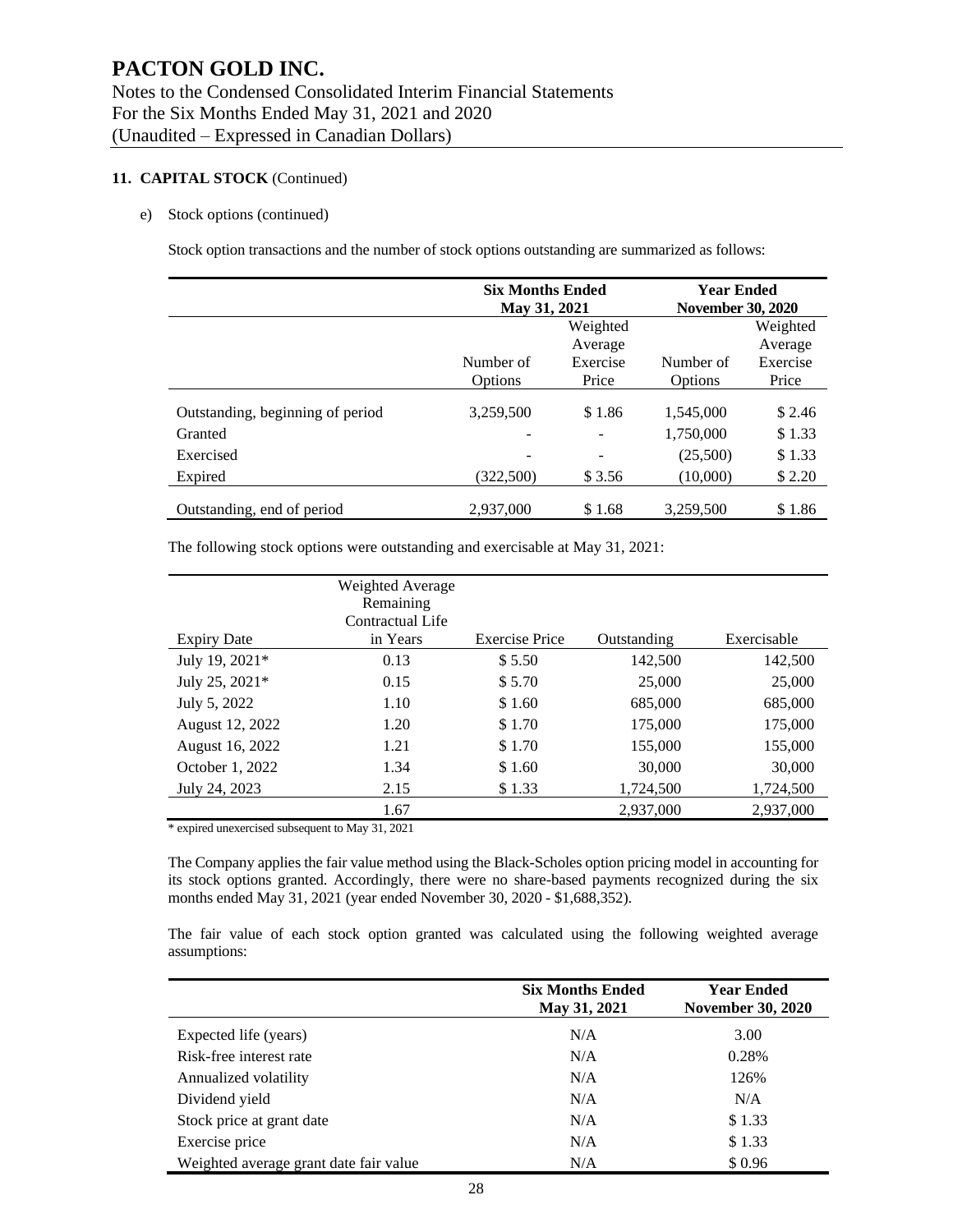#### **11. CAPITAL STOCK** (Continued)

#### e) Stock options (continued)

Stock option transactions and the number of stock options outstanding are summarized as follows:

|                                  | <b>Six Months Ended</b><br>May 31, 2021 |                   | <b>Year Ended</b><br><b>November 30, 2020</b> |                     |  |
|----------------------------------|-----------------------------------------|-------------------|-----------------------------------------------|---------------------|--|
|                                  | Weighted<br>Average                     |                   |                                               | Weighted<br>Average |  |
|                                  | Number of<br>Options                    | Exercise<br>Price | Number of<br>Options                          | Exercise<br>Price   |  |
| Outstanding, beginning of period | 3.259.500                               | \$1.86            | 1,545,000                                     | \$2.46              |  |
| Granted                          |                                         |                   | 1,750,000                                     | \$1.33              |  |
| Exercised                        |                                         |                   | (25,500)                                      | \$1.33              |  |
| Expired                          | (322.500)                               | \$3.56            | (10,000)                                      | \$2.20              |  |
| Outstanding, end of period       | 2,937,000                               | \$1.68            | 3,259,500                                     | \$1.86              |  |

The following stock options were outstanding and exercisable at May 31, 2021:

| <b>Expiry Date</b> | Weighted Average<br>Remaining<br>Contractual Life<br>in Years | <b>Exercise Price</b> | Outstanding | Exercisable |
|--------------------|---------------------------------------------------------------|-----------------------|-------------|-------------|
| July 19, 2021*     | 0.13                                                          | \$5.50                | 142,500     | 142,500     |
| July 25, 2021*     | 0.15                                                          | \$5.70                | 25,000      | 25,000      |
| July 5, 2022       | 1.10                                                          | \$1.60                | 685,000     | 685,000     |
| August 12, 2022    | 1.20                                                          | \$1.70                | 175,000     | 175,000     |
| August 16, 2022    | 1.21                                                          | \$1.70                | 155,000     | 155,000     |
| October 1, 2022    | 1.34                                                          | \$1.60                | 30,000      | 30,000      |
| July 24, 2023      | 2.15                                                          | \$1.33                | 1,724,500   | 1,724,500   |
|                    | 1.67                                                          |                       | 2,937,000   | 2,937,000   |

\* expired unexercised subsequent to May 31, 2021

The Company applies the fair value method using the Black-Scholes option pricing model in accounting for its stock options granted. Accordingly, there were no share-based payments recognized during the six months ended May 31, 2021 (year ended November 30, 2020 - \$1,688,352).

The fair value of each stock option granted was calculated using the following weighted average assumptions:

|                                        | <b>Six Months Ended</b><br>May 31, 2021 | <b>Year Ended</b><br><b>November 30, 2020</b> |
|----------------------------------------|-----------------------------------------|-----------------------------------------------|
| Expected life (years)                  | N/A                                     | 3.00                                          |
| Risk-free interest rate                | N/A                                     | 0.28%                                         |
| Annualized volatility                  | N/A                                     | 126%                                          |
| Dividend yield                         | N/A                                     | N/A                                           |
| Stock price at grant date              | N/A                                     | \$1.33                                        |
| Exercise price                         | N/A                                     | \$1.33                                        |
| Weighted average grant date fair value | N/A                                     | \$0.96                                        |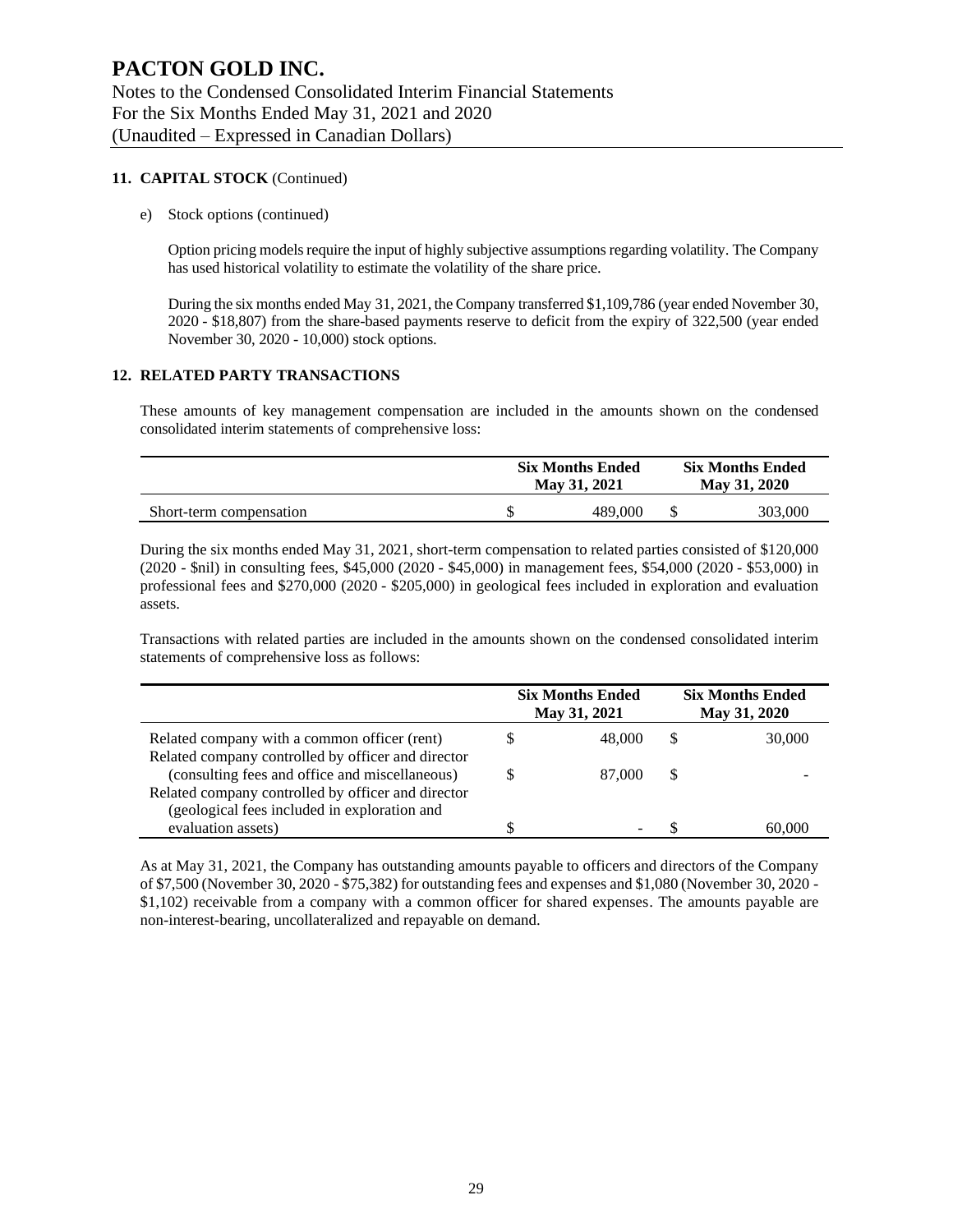#### **11. CAPITAL STOCK** (Continued)

e) Stock options (continued)

Option pricing models require the input of highly subjective assumptions regarding volatility. The Company has used historical volatility to estimate the volatility of the share price.

During the six months ended May 31, 2021, the Company transferred \$1,109,786 (year ended November 30, 2020 - \$18,807) from the share-based payments reserve to deficit from the expiry of 322,500 (year ended November 30, 2020 - 10,000) stock options.

#### **12. RELATED PARTY TRANSACTIONS**

These amounts of key management compensation are included in the amounts shown on the condensed consolidated interim statements of comprehensive loss:

|                         | <b>Six Months Ended</b><br>May 31, 2021 |         | <b>Six Months Ended</b><br>May 31, 2020 |         |
|-------------------------|-----------------------------------------|---------|-----------------------------------------|---------|
| Short-term compensation |                                         | 489.000 |                                         | 303,000 |

During the six months ended May 31, 2021, short-term compensation to related parties consisted of \$120,000 (2020 - \$nil) in consulting fees, \$45,000 (2020 - \$45,000) in management fees, \$54,000 (2020 - \$53,000) in professional fees and \$270,000 (2020 - \$205,000) in geological fees included in exploration and evaluation assets.

Transactions with related parties are included in the amounts shown on the condensed consolidated interim statements of comprehensive loss as follows:

|                                                    |   | <b>Six Months Ended</b><br>May 31, 2021 |    | <b>Six Months Ended</b><br>May 31, 2020 |
|----------------------------------------------------|---|-----------------------------------------|----|-----------------------------------------|
| Related company with a common officer (rent)       | S | 48,000                                  | S  | 30,000                                  |
| Related company controlled by officer and director |   |                                         |    |                                         |
| (consulting fees and office and miscellaneous)     | S | 87,000                                  | \$ |                                         |
| Related company controlled by officer and director |   |                                         |    |                                         |
| (geological fees included in exploration and       |   |                                         |    |                                         |
| evaluation assets)                                 | S | -                                       |    | 60.000                                  |

As at May 31, 2021, the Company has outstanding amounts payable to officers and directors of the Company of \$7,500 (November 30, 2020 - \$75,382) for outstanding fees and expenses and \$1,080 (November 30, 2020 - \$1,102) receivable from a company with a common officer for shared expenses. The amounts payable are non-interest-bearing, uncollateralized and repayable on demand.